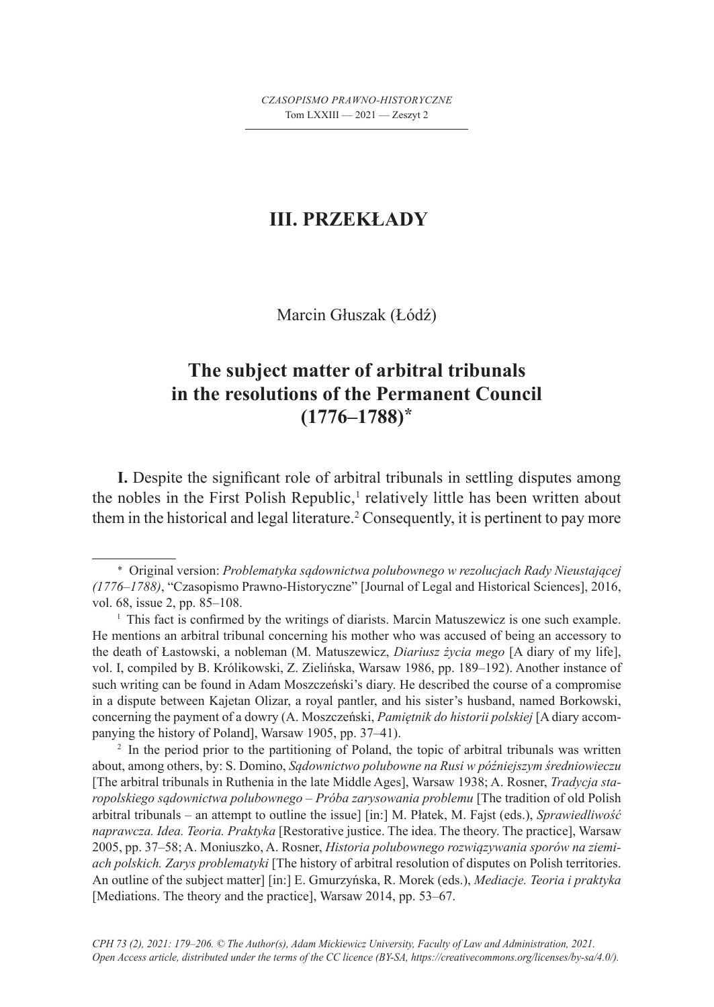## **III. PRZEKŁADY**

Marcin Głuszak (Łódź)

## **The subject matter of arbitral tribunals in the resolutions of the Permanent Council (1776–1788)\***

**I.** Despite the significant role of arbitral tribunals in settling disputes among the nobles in the First Polish Republic,<sup>1</sup> relatively little has been written about them in the historical and legal literature.<sup>2</sup> Consequently, it is pertinent to pay more

<sup>2</sup> In the period prior to the partitioning of Poland, the topic of arbitral tribunals was written about, among others, by: S. Domino, *Sądownictwo polubowne na Rusi w późniejszym średniowieczu* [The arbitral tribunals in Ruthenia in the late Middle Ages], Warsaw 1938; A. Rosner, *Tradycja staropolskiego sądownictwa polubownego – Próba zarysowania problemu* [The tradition of old Polish arbitral tribunals – an attempt to outline the issue] [in:] M. Płatek, M. Fajst (eds.), *Sprawiedliwość naprawcza. Idea. Teoria. Praktyka* [Restorative justice. The idea. The theory. The practice], Warsaw 2005, pp. 37–58; A. Moniuszko, A. Rosner, *Historia polubownego rozwiązywania sporów na ziemiach polskich. Zarys problematyki* [The history of arbitral resolution of disputes on Polish territories. An outline of the subject matter] [in:] E. Gmurzyńska, R. Morek (eds.), *Mediacje. Teoria i praktyka* [Mediations. The theory and the practice], Warsaw 2014, pp. 53–67.

<sup>\*</sup> Original version: *Problematyka sądownictwa polubownego w rezolucjach Rady Nieustającej (1776–1788)*, "Czasopismo Prawno-Historyczne" [Journal of Legal and Historical Sciences], 2016, vol. 68, issue 2, pp. 85–108.

<sup>1</sup> This fact is confirmed by the writings of diarists. Marcin Matuszewicz is one such example. He mentions an arbitral tribunal concerning his mother who was accused of being an accessory to the death of Łastowski, a nobleman (M. Matuszewicz, *Diariusz życia mego* [A diary of my life], vol. I, compiled by B. Królikowski, Z. Zielińska, Warsaw 1986, pp. 189–192). Another instance of such writing can be found in Adam Moszczeński's diary. He described the course of a compromise in a dispute between Kajetan Olizar, a royal pantler, and his sister's husband, named Borkowski, concerning the payment of a dowry (A. Moszczeński, *Pamiętnik do historii polskiej* [A diary accompanying the history of Poland], Warsaw 1905, pp. 37–41). 2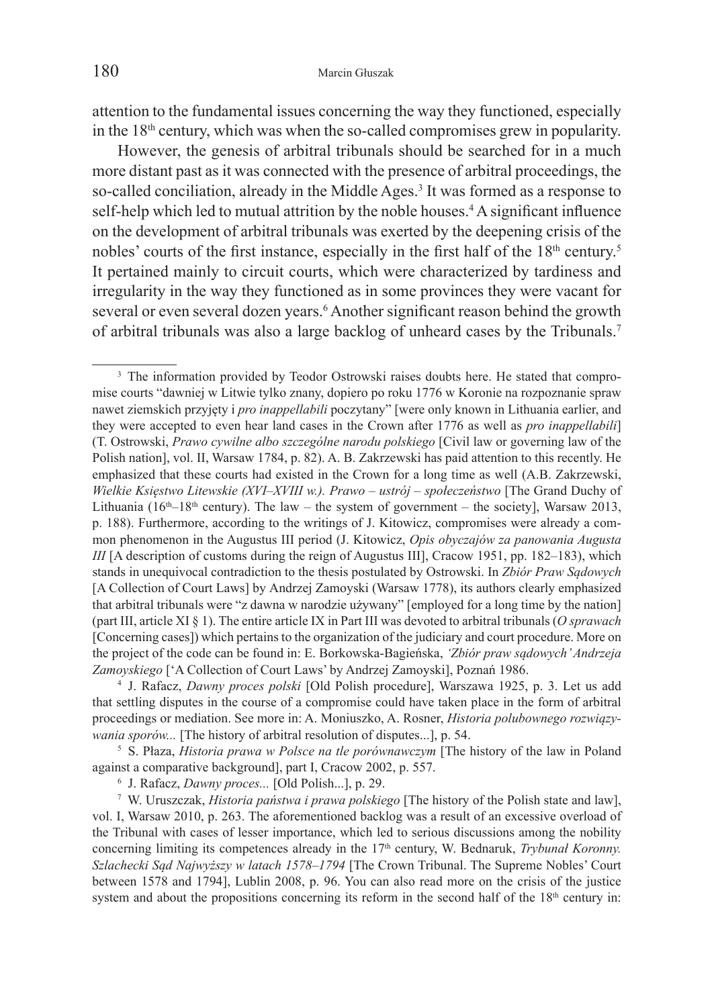attention to the fundamental issues concerning the way they functioned, especially in the  $18<sup>th</sup>$  century, which was when the so-called compromises grew in popularity.

However, the genesis of arbitral tribunals should be searched for in a much more distant past as it was connected with the presence of arbitral proceedings, the so-called conciliation, already in the Middle Ages.<sup>3</sup> It was formed as a response to self-help which led to mutual attrition by the noble houses.4 A significant influence on the development of arbitral tribunals was exerted by the deepening crisis of the nobles' courts of the first instance, especially in the first half of the  $18<sup>th</sup>$  century.<sup>5</sup> It pertained mainly to circuit courts, which were characterized by tardiness and irregularity in the way they functioned as in some provinces they were vacant for several or even several dozen years.<sup>6</sup> Another significant reason behind the growth of arbitral tribunals was also a large backlog of unheard cases by the Tribunals.7

<sup>4</sup> J. Rafacz, *Dawny proces polski* [Old Polish procedure], Warszawa 1925, p. 3. Let us add that settling disputes in the course of a compromise could have taken place in the form of arbitral proceedings or mediation. See more in: A. Moniuszko, A. Rosner, *Historia polubownego rozwiązy-*

*wania sporów...* [The history of arbitral resolution of disputes...], p. 54.<br><sup>5</sup> S. Płaza, *Historia prawa w Polsce na tle porównawczym* [The history of the law in Poland against a comparative background], part I, Cracow

<sup>6</sup> J. Rafacz, *Dawny proces...* [Old Polish...], p. 29.<br><sup>7</sup> W. Uruszczak, *Historia państwa i prawa polskiego* [The history of the Polish state and law], vol. I, Warsaw 2010, p. 263. The aforementioned backlog was a result of an excessive overload of the Tribunal with cases of lesser importance, which led to serious discussions among the nobility concerning limiting its competences already in the 17<sup>th</sup> century, W. Bednaruk, *Trybunal Koronny*. *Szlachecki Sąd Najwyższy w latach 1578–1794* [The Crown Tribunal. The Supreme Nobles' Court between 1578 and 1794], Lublin 2008, p. 96. You can also read more on the crisis of the justice system and about the propositions concerning its reform in the second half of the  $18<sup>th</sup>$  century in:

<sup>&</sup>lt;sup>3</sup> The information provided by Teodor Ostrowski raises doubts here. He stated that compromise courts "dawniej w Litwie tylko znany, dopiero po roku 1776 w Koronie na rozpoznanie spraw nawet ziemskich przyjęty i *pro inappellabili* poczytany" [were only known in Lithuania earlier, and they were accepted to even hear land cases in the Crown after 1776 as well as *pro inappellabili*] (T. Ostrowski, *Prawo cywilne albo szczególne narodu polskiego* [Civil law or governing law of the Polish nation], vol. II, Warsaw 1784, p. 82). A. B. Zakrzewski has paid attention to this recently. He emphasized that these courts had existed in the Crown for a long time as well (A.B. Zakrzewski, *Wielkie Księstwo Litewskie (XVI–XVIII w.). Prawo – ustrój – społeczeństwo* [The Grand Duchy of Lithuania ( $16<sup>th</sup>-18<sup>th</sup>$  century). The law – the system of government – the society], Warsaw 2013, p. 188). Furthermore, according to the writings of J. Kitowicz, compromises were already a common phenomenon in the Augustus III period (J. Kitowicz, *Opis obyczajów za panowania Augusta III* [A description of customs during the reign of Augustus III], Cracow 1951, pp. 182–183), which stands in unequivocal contradiction to the thesis postulated by Ostrowski. In *Zbiór Praw Sądowych* [A Collection of Court Laws] by Andrzej Zamoyski (Warsaw 1778), its authors clearly emphasized that arbitral tribunals were "z dawna w narodzie używany" [employed for a long time by the nation] (part III, article XI § 1). The entire article IX in Part III was devoted to arbitral tribunals (*O sprawach* [Concerning cases]) which pertains to the organization of the judiciary and court procedure. More on the project of the code can be found in: E. Borkowska-Bagieńska, *'Zbiór praw sądowych' Andrzeja Zamoyskiego* ['A Collection of Court Laws' by Andrzej Zamoyski], Poznań 1986.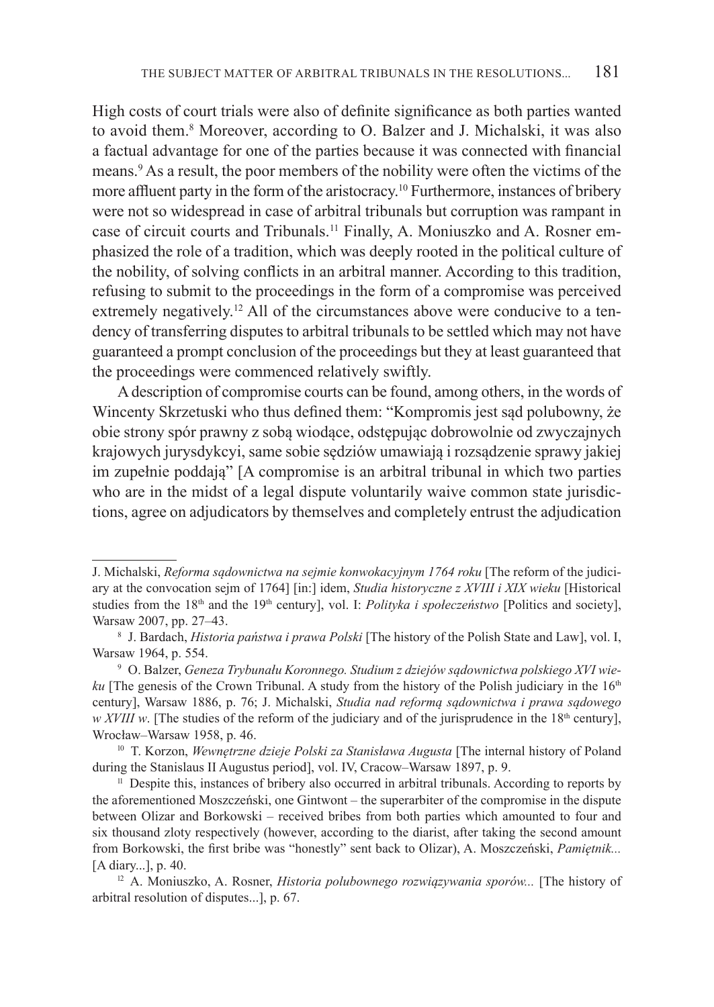High costs of court trials were also of definite significance as both parties wanted to avoid them.8 Moreover, according to O. Balzer and J. Michalski, it was also a factual advantage for one of the parties because it was connected with financial means.9 As a result, the poor members of the nobility were often the victims of the more affluent party in the form of the aristocracy.<sup>10</sup> Furthermore, instances of bribery were not so widespread in case of arbitral tribunals but corruption was rampant in case of circuit courts and Tribunals.<sup>11</sup> Finally, A. Moniuszko and A. Rosner emphasized the role of a tradition, which was deeply rooted in the political culture of the nobility, of solving conflicts in an arbitral manner. According to this tradition, refusing to submit to the proceedings in the form of a compromise was perceived extremely negatively.<sup>12</sup> All of the circumstances above were conducive to a tendency of transferring disputes to arbitral tribunals to be settled which may not have guaranteed a prompt conclusion of the proceedings but they at least guaranteed that the proceedings were commenced relatively swiftly.

A description of compromise courts can be found, among others, in the words of Wincenty Skrzetuski who thus defined them: "Kompromis jest sąd polubowny, że obie strony spór prawny z sobą wiodące, odstępując dobrowolnie od zwyczajnych krajowych jurysdykcyi, same sobie sędziów umawiają i rozsądzenie sprawy jakiej im zupełnie poddają" [A compromise is an arbitral tribunal in which two parties who are in the midst of a legal dispute voluntarily waive common state jurisdictions, agree on adjudicators by themselves and completely entrust the adjudication

J. Michalski, *Reforma sądownictwa na sejmie konwokacyjnym 1764 roku* [The reform of the judiciary at the convocation sejm of 1764] [in:] idem, *Studia historyczne z XVIII i XIX wieku* [Historical studies from the 18<sup>th</sup> and the 19<sup>th</sup> century], vol. I: *Polityka i społeczeństwo* [Politics and society], Warsaw 2007, pp. 27–43.<br><sup>8</sup> J. Bardach, *Historia państwa i prawa Polski* [The history of the Polish State and Law], vol. I,

Warsaw 1964, p. 554. 9 O. Balzer, *Geneza Trybunału Koronnego. Studium z dziejów sądownictwa polskiego XVI wie-*

*ku* [The genesis of the Crown Tribunal. A study from the history of the Polish judiciary in the 16<sup>th</sup> century], Warsaw 1886, p. 76; J. Michalski, *Studia nad reformą sądownictwa i prawa sądowego w XVIII w*. [The studies of the reform of the judiciary and of the jurisprudence in the 18<sup>th</sup> century],

Wrocław–Warsaw 1958, p. 46.<br><sup>10</sup> T. Korzon, *Wewnętrzne dzieje Polski za Stanisława Augusta* [The internal history of Poland during the Stanislaus II Augustus period], vol. IV, Cracow–Warsaw 1897, p. 9.

 $\mu$  Despite this, instances of bribery also occurred in arbitral tribunals. According to reports by the aforementioned Moszczeński, one Gintwont – the superarbiter of the compromise in the dispute between Olizar and Borkowski – received bribes from both parties which amounted to four and six thousand zloty respectively (however, according to the diarist, after taking the second amount from Borkowski, the first bribe was "honestly" sent back to Olizar), A. Moszczeński, *Pamiętnik...* [A diary...], p. 40.

<sup>12</sup> A. Moniuszko, A. Rosner, *Historia polubownego rozwiązywania sporów...* [The history of arbitral resolution of disputes...], p. 67.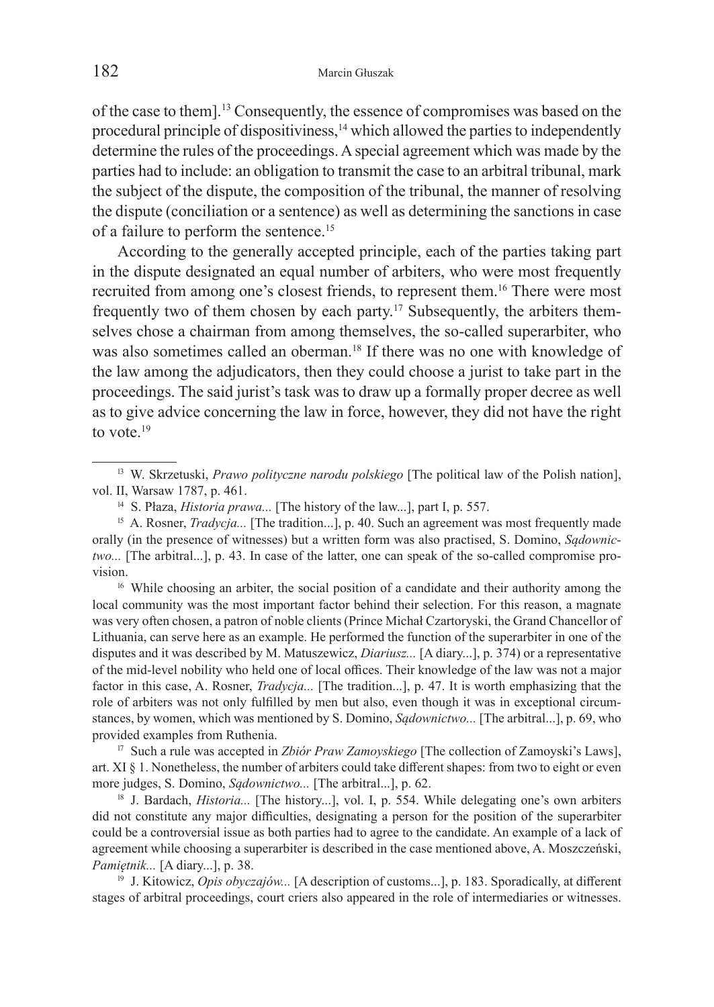of the case to them].13 Consequently, the essence of compromises was based on the procedural principle of dispositiviness, $<sup>14</sup>$  which allowed the parties to independently</sup> determine the rules of the proceedings. A special agreement which was made by the parties had to include: an obligation to transmit the case to an arbitral tribunal, mark the subject of the dispute, the composition of the tribunal, the manner of resolving the dispute (conciliation or a sentence) as well as determining the sanctions in case of a failure to perform the sentence.15

According to the generally accepted principle, each of the parties taking part in the dispute designated an equal number of arbiters, who were most frequently recruited from among one's closest friends, to represent them.16 There were most frequently two of them chosen by each party.17 Subsequently, the arbiters themselves chose a chairman from among themselves, the so-called superarbiter, who was also sometimes called an oberman.<sup>18</sup> If there was no one with knowledge of the law among the adjudicators, then they could choose a jurist to take part in the proceedings. The said jurist's task was to draw up a formally proper decree as well as to give advice concerning the law in force, however, they did not have the right to vote.<sup>19</sup>

local community was the most important factor behind their selection. For this reason, a magnate was very often chosen, a patron of noble clients (Prince Michał Czartoryski, the Grand Chancellor of Lithuania, can serve here as an example. He performed the function of the superarbiter in one of the disputes and it was described by M. Matuszewicz, *Diariusz...* [A diary...], p. 374) or a representative of the mid-level nobility who held one of local offices. Their knowledge of the law was not a major factor in this case, A. Rosner, *Tradycja...* [The tradition...], p. 47. It is worth emphasizing that the role of arbiters was not only fulfilled by men but also, even though it was in exceptional circumstances, by women, which was mentioned by S. Domino, *Sądownictwo...* [The arbitral...], p. 69, who provided examples from Ruthenia. 17 Such a rule was accepted in *Zbiór Praw Zamoyskiego* [The collection of Zamoyski's Laws],

art. XI § 1. Nonetheless, the number of arbiters could take different shapes: from two to eight or even more judges, S. Domino, *Sądownictwo...* [The arbitral...], p. 62.

<sup>18</sup> J. Bardach, *Historia...* [The history...], vol. I, p. 554. While delegating one's own arbiters did not constitute any major difficulties, designating a person for the position of the superarbiter could be a controversial issue as both parties had to agree to the candidate. An example of a lack of agreement while choosing a superarbiter is described in the case mentioned above, A. Moszczeński, *Pamiętnik...* [A diary...], p. 38.<br><sup>19</sup> J. Kitowicz, *Opis obyczajów...* [A description of customs...], p. 183. Sporadically, at different

stages of arbitral proceedings, court criers also appeared in the role of intermediaries or witnesses.

<sup>13</sup> W. Skrzetuski, *Prawo polityczne narodu polskiego* [The political law of the Polish nation], vol. II, Warsaw 1787, p. 461.<br><sup>14</sup> S. Płaza, *Historia prawa...* [The history of the law...], part I, p. 557.<br><sup>15</sup> A. Rosner, *Tradycja...* [The tradition...], p. 40. Such an agreement was most frequently made

orally (in the presence of witnesses) but a written form was also practised, S. Domino, *Sądownictwo...* [The arbitral...], p. 43. In case of the latter, one can speak of the so-called compromise provision. 16 While choosing an arbiter, the social position of a candidate and their authority among the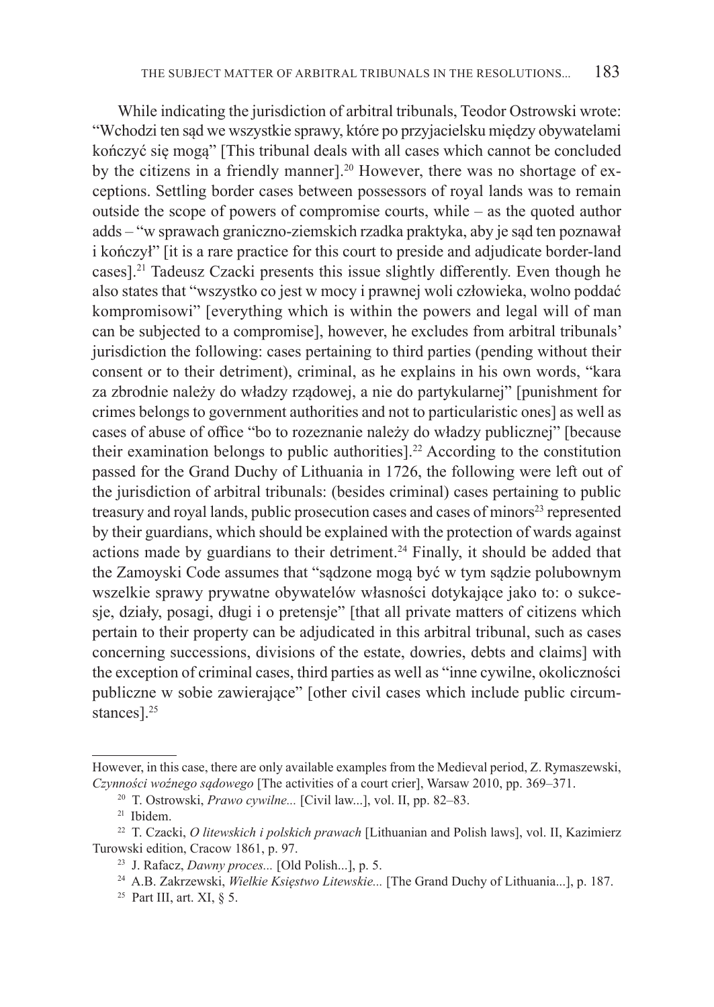While indicating the jurisdiction of arbitral tribunals, Teodor Ostrowski wrote: "Wchodzi ten sąd we wszystkie sprawy, które po przyjacielsku między obywatelami kończyć się mogą" [This tribunal deals with all cases which cannot be concluded by the citizens in a friendly manner].<sup>20</sup> However, there was no shortage of exceptions. Settling border cases between possessors of royal lands was to remain outside the scope of powers of compromise courts, while – as the quoted author adds – "w sprawach graniczno-ziemskich rzadka praktyka, aby je sąd ten poznawał i kończył" [it is a rare practice for this court to preside and adjudicate border-land cases].<sup>21</sup> Tadeusz Czacki presents this issue slightly differently. Even though he also states that "wszystko co jest w mocy i prawnej woli człowieka, wolno poddać kompromisowi" [everything which is within the powers and legal will of man can be subjected to a compromise], however, he excludes from arbitral tribunals' jurisdiction the following: cases pertaining to third parties (pending without their consent or to their detriment), criminal, as he explains in his own words, "kara za zbrodnie należy do władzy rządowej, a nie do partykularnej" [punishment for crimes belongs to government authorities and not to particularistic ones] as well as cases of abuse of office "bo to rozeznanie należy do władzy publicznej" [because their examination belongs to public authorities].<sup>22</sup> According to the constitution passed for the Grand Duchy of Lithuania in 1726, the following were left out of the jurisdiction of arbitral tribunals: (besides criminal) cases pertaining to public treasury and royal lands, public prosecution cases and cases of minors<sup>23</sup> represented by their guardians, which should be explained with the protection of wards against actions made by guardians to their detriment.<sup>24</sup> Finally, it should be added that the Zamoyski Code assumes that "sądzone mogą być w tym sądzie polubownym wszelkie sprawy prywatne obywatelów własności dotykające jako to: o sukcesje, działy, posagi, długi i o pretensje" [that all private matters of citizens which pertain to their property can be adjudicated in this arbitral tribunal, such as cases concerning successions, divisions of the estate, dowries, debts and claims] with the exception of criminal cases, third parties as well as "inne cywilne, okoliczności publiczne w sobie zawierające" [other civil cases which include public circumstances].<sup>25</sup>

However, in this case, there are only available examples from the Medieval period, Z. Rymaszewski, *Czynności woźnego sądowego* [The activities of a court crier], Warsaw 2010, pp. 369–371.<br><sup>20</sup> T. Ostrowski, *Prawo cywilne...* [Civil law...], vol. II, pp. 82–83.<br><sup>21</sup> Ibidem.

<sup>22</sup> T. Czacki, *O litewskich i polskich prawach* [Lithuanian and Polish laws], vol. II, Kazimierz

<sup>&</sup>lt;sup>23</sup> J. Rafacz, *Dawny proces...* [Old Polish...], p. 5.<br><sup>24</sup> A.B. Zakrzewski, *Wielkie Księstwo Litewskie...* [The Grand Duchy of Lithuania...], p. 187.

<sup>&</sup>lt;sup>25</sup> Part III, art. XI,  $\delta$  5.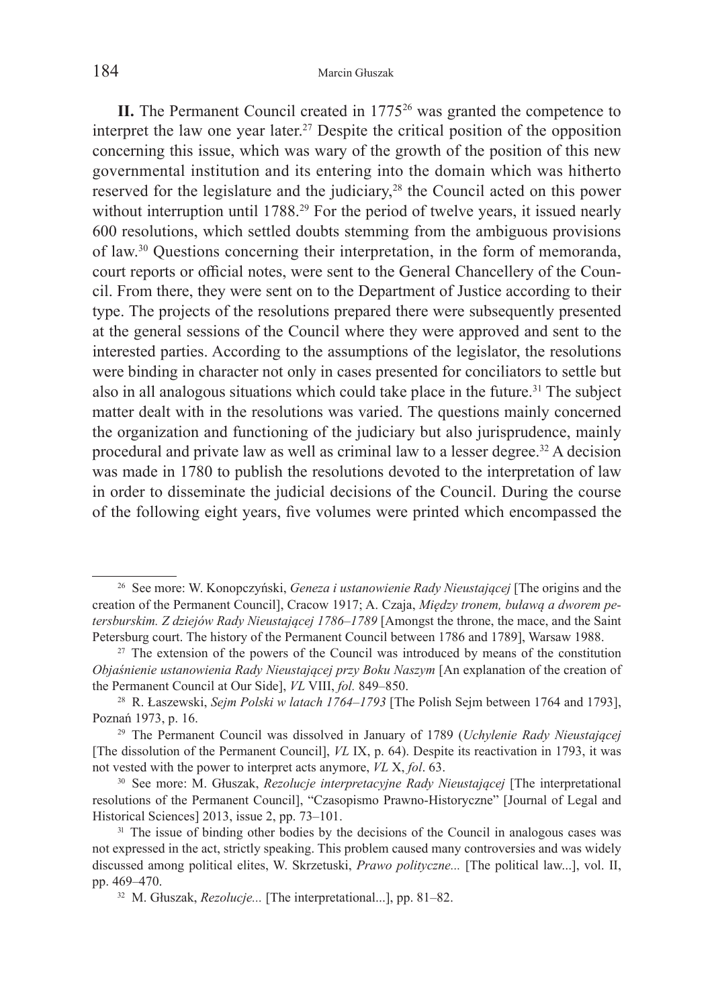**II.** The Permanent Council created in 1775<sup>26</sup> was granted the competence to interpret the law one year later.<sup>27</sup> Despite the critical position of the opposition concerning this issue, which was wary of the growth of the position of this new governmental institution and its entering into the domain which was hitherto reserved for the legislature and the judiciary,<sup>28</sup> the Council acted on this power without interruption until 1788.<sup>29</sup> For the period of twelve years, it issued nearly 600 resolutions, which settled doubts stemming from the ambiguous provisions of law.30 Questions concerning their interpretation, in the form of memoranda, court reports or official notes, were sent to the General Chancellery of the Council. From there, they were sent on to the Department of Justice according to their type. The projects of the resolutions prepared there were subsequently presented at the general sessions of the Council where they were approved and sent to the interested parties. According to the assumptions of the legislator, the resolutions were binding in character not only in cases presented for conciliators to settle but also in all analogous situations which could take place in the future.<sup>31</sup> The subject matter dealt with in the resolutions was varied. The questions mainly concerned the organization and functioning of the judiciary but also jurisprudence, mainly procedural and private law as well as criminal law to a lesser degree.32 A decision was made in 1780 to publish the resolutions devoted to the interpretation of law in order to disseminate the judicial decisions of the Council. During the course of the following eight years, five volumes were printed which encompassed the

<sup>26</sup> See more: W. Konopczyński, *Geneza i ustanowienie Rady Nieustającej* [The origins and the creation of the Permanent Council], Cracow 1917; A. Czaja, *Między tronem, buławą a dworem petersburskim. Z dziejów Rady Nieustającej 1786–1789* [Amongst the throne, the mace, and the Saint Petersburg court. The history of the Permanent Council between 1786 and 1789], Warsaw 1988. 27 The extension of the powers of the Council was introduced by means of the constitution

*Objaśnienie ustanowienia Rady Nieustającej przy Boku Naszym* [An explanation of the creation of the Permanent Council at Our Side], *VL* VIII, *fol.* 849–850. 28 R. Łaszewski, *Sejm Polski w latach 1764–1793* [The Polish Sejm between 1764 and 1793],

Poznań 1973, p. 16. 29 The Permanent Council was dissolved in January of 1789 (*Uchylenie Rady Nieustającej* [The dissolution of the Permanent Council], *VL* IX, p. 64). Despite its reactivation in 1793, it was not vested with the power to interpret acts anymore, *VL* X, *fol*. 63.

<sup>30</sup> See more: M. Głuszak, *Rezolucje interpretacyjne Rady Nieustającej* [The interpretational resolutions of the Permanent Council], "Czasopismo Prawno-Historyczne" [Journal of Legal and Historical Sciences] 2013, issue 2, pp. 73–101.<br><sup>31</sup> The issue of binding other bodies by the decisions of the Council in analogous cases was

not expressed in the act, strictly speaking. This problem caused many controversies and was widely discussed among political elites, W. Skrzetuski, *Prawo polityczne...* [The political law...], vol. II, pp. 469–470.

<sup>32</sup> M. Głuszak, *Rezolucje...* [The interpretational...], pp. 81–82.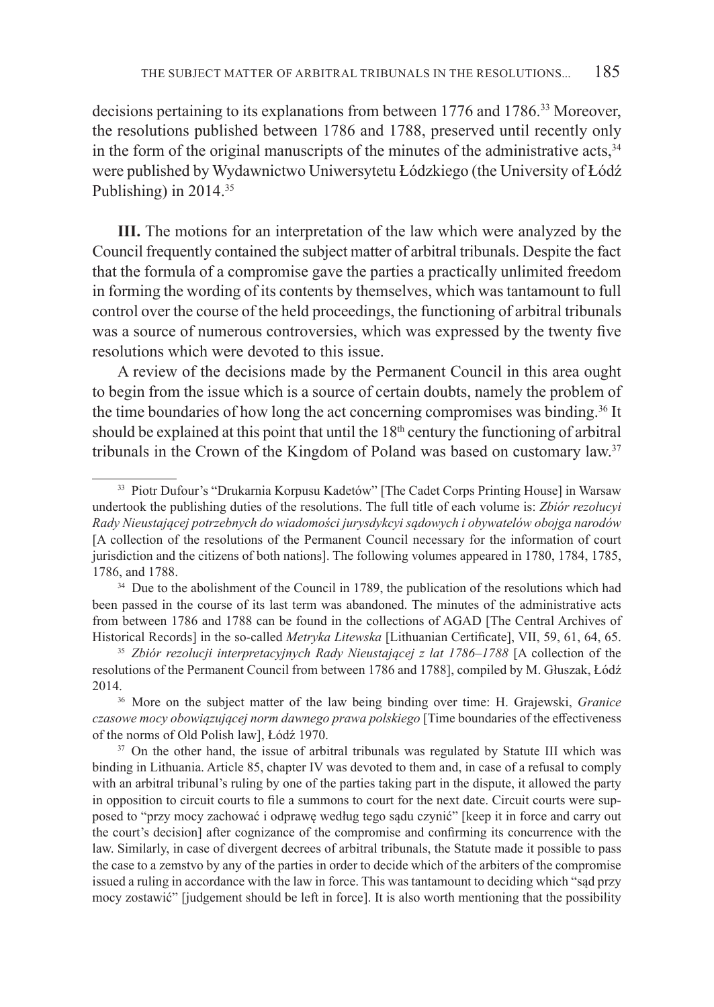decisions pertaining to its explanations from between 1776 and 1786.<sup>33</sup> Moreover, the resolutions published between 1786 and 1788, preserved until recently only in the form of the original manuscripts of the minutes of the administrative acts,  $34$ were published by Wydawnictwo Uniwersytetu Łódzkiego (the University of Łódź Publishing) in 2014.35

**III.** The motions for an interpretation of the law which were analyzed by the Council frequently contained the subject matter of arbitral tribunals. Despite the fact that the formula of a compromise gave the parties a practically unlimited freedom in forming the wording of its contents by themselves, which was tantamount to full control over the course of the held proceedings, the functioning of arbitral tribunals was a source of numerous controversies, which was expressed by the twenty five resolutions which were devoted to this issue.

A review of the decisions made by the Permanent Council in this area ought to begin from the issue which is a source of certain doubts, namely the problem of the time boundaries of how long the act concerning compromises was binding.<sup>36</sup> It should be explained at this point that until the  $18<sup>th</sup>$  century the functioning of arbitral tribunals in the Crown of the Kingdom of Poland was based on customary law.37

<sup>33</sup> Piotr Dufour's "Drukarnia Korpusu Kadetów" [The Cadet Corps Printing House] in Warsaw undertook the publishing duties of the resolutions. The full title of each volume is: *Zbiór rezolucyi Rady Nieustającej potrzebnych do wiadomości jurysdykcyi sądowych i obywatelów obojga narodów* [A collection of the resolutions of the Permanent Council necessary for the information of court jurisdiction and the citizens of both nations]. The following volumes appeared in 1780, 1784, 1785, 1786, and 1788.<br><sup>34</sup> Due to the abolishment of the Council in 1789, the publication of the resolutions which had

been passed in the course of its last term was abandoned. The minutes of the administrative acts from between 1786 and 1788 can be found in the collections of AGAD [The Central Archives of Historical Records] in the so-called *Metryka Litewska* [Lithuanian Certificate], VII, 59, 61, 64, 65. 35 *Zbiór rezolucji interpretacyjnych Rady Nieustającej z lat 1786–1788* [A collection of the

resolutions of the Permanent Council from between 1786 and 1788], compiled by M. Głuszak, Łódź 2014. 36 More on the subject matter of the law being binding over time: H. Grajewski, *Granice* 

*czasowe mocy obowiązującej norm dawnego prawa polskiego* [Time boundaries of the effectiveness of the norms of Old Polish law], Łódź 1970.<br><sup>37</sup> On the other hand, the issue of arbitral tribunals was regulated by Statute III which was

binding in Lithuania. Article 85, chapter IV was devoted to them and, in case of a refusal to comply with an arbitral tribunal's ruling by one of the parties taking part in the dispute, it allowed the party in opposition to circuit courts to file a summons to court for the next date. Circuit courts were supposed to "przy mocy zachować i odprawę według tego sądu czynić" [keep it in force and carry out the court's decision] after cognizance of the compromise and confirming its concurrence with the law. Similarly, in case of divergent decrees of arbitral tribunals, the Statute made it possible to pass the case to a zemstvo by any of the parties in order to decide which of the arbiters of the compromise issued a ruling in accordance with the law in force. This was tantamount to deciding which "sąd przy mocy zostawić" [judgement should be left in force]. It is also worth mentioning that the possibility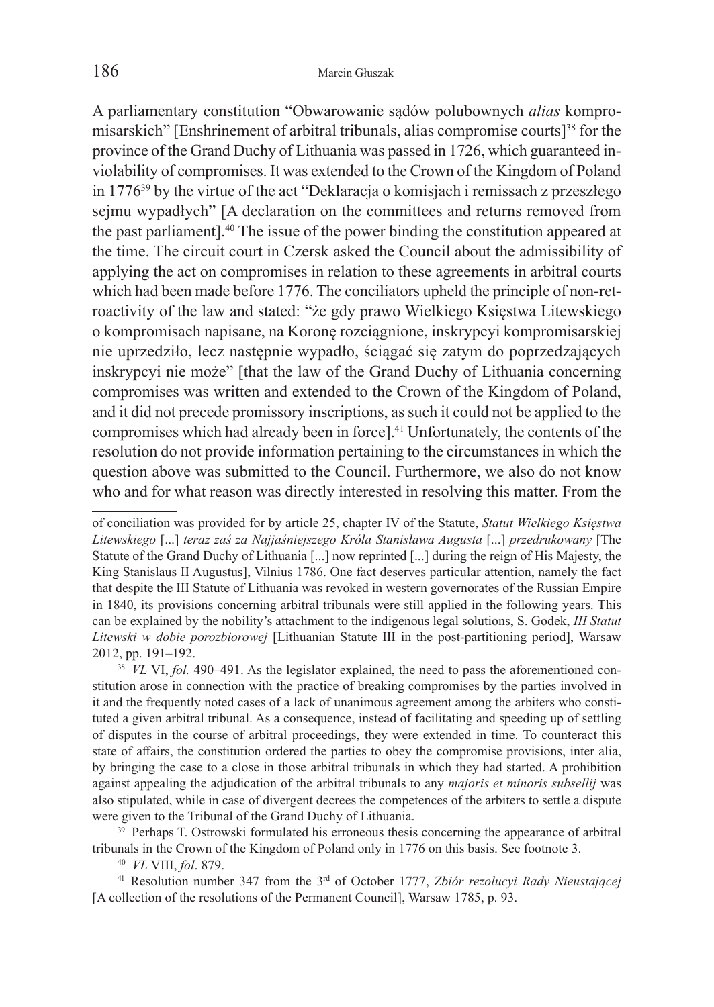A parliamentary constitution "Obwarowanie sądów polubownych *alias* kompromisarskich" [Enshrinement of arbitral tribunals, alias compromise courts]38 for the province of the Grand Duchy of Lithuania was passed in 1726, which guaranteed inviolability of compromises. It was extended to the Crown of the Kingdom of Poland in 177639 by the virtue of the act "Deklaracja o komisjach i remissach z przeszłego sejmu wypadłych" [A declaration on the committees and returns removed from the past parliament].40 The issue of the power binding the constitution appeared at the time. The circuit court in Czersk asked the Council about the admissibility of applying the act on compromises in relation to these agreements in arbitral courts which had been made before 1776. The conciliators upheld the principle of non-retroactivity of the law and stated: "że gdy prawo Wielkiego Księstwa Litewskiego o kompromisach napisane, na Koronę rozciągnione, inskrypcyi kompromisarskiej nie uprzedziło, lecz następnie wypadło, ściągać się zatym do poprzedzających inskrypcyi nie może" [that the law of the Grand Duchy of Lithuania concerning compromises was written and extended to the Crown of the Kingdom of Poland, and it did not precede promissory inscriptions, as such it could not be applied to the compromises which had already been in force].41 Unfortunately, the contents of the resolution do not provide information pertaining to the circumstances in which the question above was submitted to the Council. Furthermore, we also do not know who and for what reason was directly interested in resolving this matter. From the

tribunals in the Crown of the Kingdom of Poland only in 1776 on this basis. See footnote 3. 40 *VL* VIII, *fol*. 879.

<sup>41</sup> Resolution number 347 from the 3rd of October 1777, *Zbiór rezolucyi Rady Nieustającej* [A collection of the resolutions of the Permanent Council], Warsaw 1785, p. 93.

of conciliation was provided for by article 25, chapter IV of the Statute, *Statut Wielkiego Księstwa Litewskiego* [...] *teraz zaś za Najjaśniejszego Króla Stanisława Augusta* [...] *przedrukowany* [The Statute of the Grand Duchy of Lithuania [...] now reprinted [...] during the reign of His Majesty, the King Stanislaus II Augustus], Vilnius 1786. One fact deserves particular attention, namely the fact that despite the III Statute of Lithuania was revoked in western governorates of the Russian Empire in 1840, its provisions concerning arbitral tribunals were still applied in the following years. This can be explained by the nobility's attachment to the indigenous legal solutions, S. Godek, *III Statut Litewski w dobie porozbiorowej* [Lithuanian Statute III in the post-partitioning period], Warsaw 2012, pp. 191–192.<br><sup>38</sup> *VL* VI, *fol.* 490–491. As the legislator explained, the need to pass the aforementioned con-

stitution arose in connection with the practice of breaking compromises by the parties involved in it and the frequently noted cases of a lack of unanimous agreement among the arbiters who constituted a given arbitral tribunal. As a consequence, instead of facilitating and speeding up of settling of disputes in the course of arbitral proceedings, they were extended in time. To counteract this state of affairs, the constitution ordered the parties to obey the compromise provisions, inter alia, by bringing the case to a close in those arbitral tribunals in which they had started. A prohibition against appealing the adjudication of the arbitral tribunals to any *majoris et minoris subsellij* was also stipulated, while in case of divergent decrees the competences of the arbiters to settle a dispute were given to the Tribunal of the Grand Duchy of Lithuania.<br><sup>39</sup> Perhaps T. Ostrowski formulated his erroneous thesis concerning the appearance of arbitral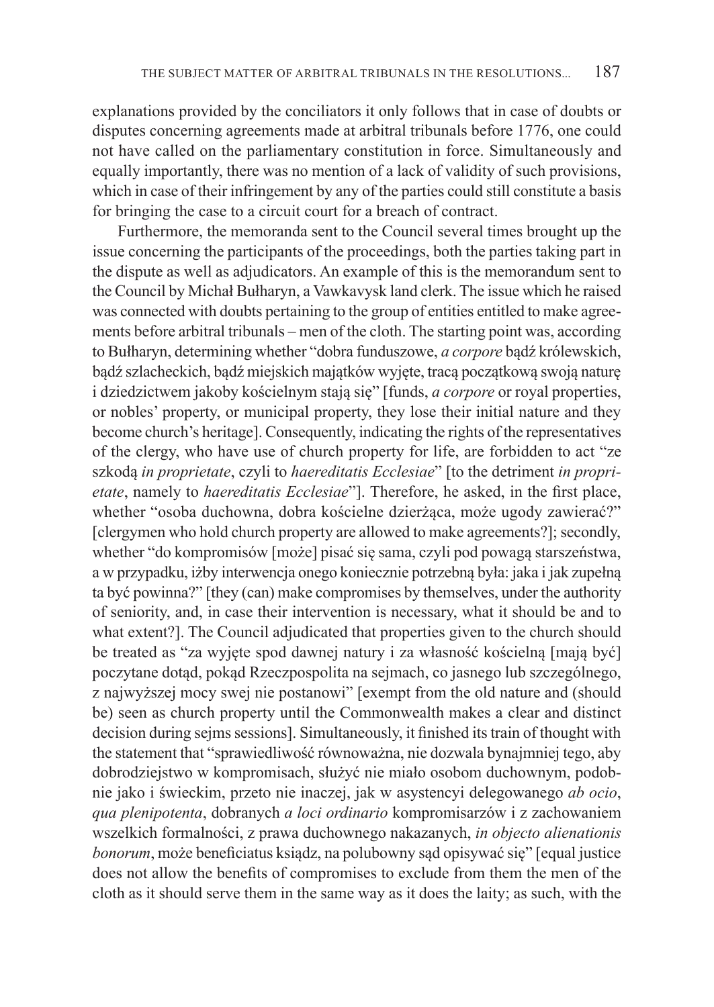explanations provided by the conciliators it only follows that in case of doubts or disputes concerning agreements made at arbitral tribunals before 1776, one could not have called on the parliamentary constitution in force. Simultaneously and equally importantly, there was no mention of a lack of validity of such provisions, which in case of their infringement by any of the parties could still constitute a basis for bringing the case to a circuit court for a breach of contract.

Furthermore, the memoranda sent to the Council several times brought up the issue concerning the participants of the proceedings, both the parties taking part in the dispute as well as adjudicators. An example of this is the memorandum sent to the Council by Michał Bułharyn, a Vawkavysk land clerk. The issue which he raised was connected with doubts pertaining to the group of entities entitled to make agreements before arbitral tribunals – men of the cloth. The starting point was, according to Bułharyn, determining whether "dobra funduszowe, *a corpore* bądź królewskich, bądź szlacheckich, bądź miejskich majątków wyjęte, tracą początkową swoją naturę i dziedzictwem jakoby kościelnym stają się" [funds, *a corpore* or royal properties, or nobles' property, or municipal property, they lose their initial nature and they become church's heritage]. Consequently, indicating the rights of the representatives of the clergy, who have use of church property for life, are forbidden to act "ze szkodą *in proprietate*, czyli to *haereditatis Ecclesiae*" [to the detriment *in proprietate*, namely to *haereditatis Ecclesiae*"]. Therefore, he asked, in the first place, whether "osoba duchowna, dobra kościelne dzierżąca, może ugody zawierać?" [clergymen who hold church property are allowed to make agreements?]; secondly, whether "do kompromisów [może] pisać się sama, czyli pod powagą starszeństwa, a w przypadku, iżby interwencja onego koniecznie potrzebną była: jaka i jak zupełną ta być powinna?" [they (can) make compromises by themselves, under the authority of seniority, and, in case their intervention is necessary, what it should be and to what extent?]. The Council adjudicated that properties given to the church should be treated as "za wyjęte spod dawnej natury i za własność kościelną [mają być] poczytane dotąd, pokąd Rzeczpospolita na sejmach, co jasnego lub szczególnego, z najwyższej mocy swej nie postanowi" [exempt from the old nature and (should be) seen as church property until the Commonwealth makes a clear and distinct decision during sejms sessions]. Simultaneously, it finished its train of thought with the statement that "sprawiedliwość równoważna, nie dozwala bynajmniej tego, aby dobrodziejstwo w kompromisach, służyć nie miało osobom duchownym, podobnie jako i świeckim, przeto nie inaczej, jak w asystencyi delegowanego *ab ocio*, *qua plenipotenta*, dobranych *a loci ordinario* kompromisarzów i z zachowaniem wszelkich formalności, z prawa duchownego nakazanych, *in objecto alienationis bonorum*, może beneficiatus ksiądz, na polubowny sąd opisywać się" [equal justice does not allow the benefits of compromises to exclude from them the men of the cloth as it should serve them in the same way as it does the laity; as such, with the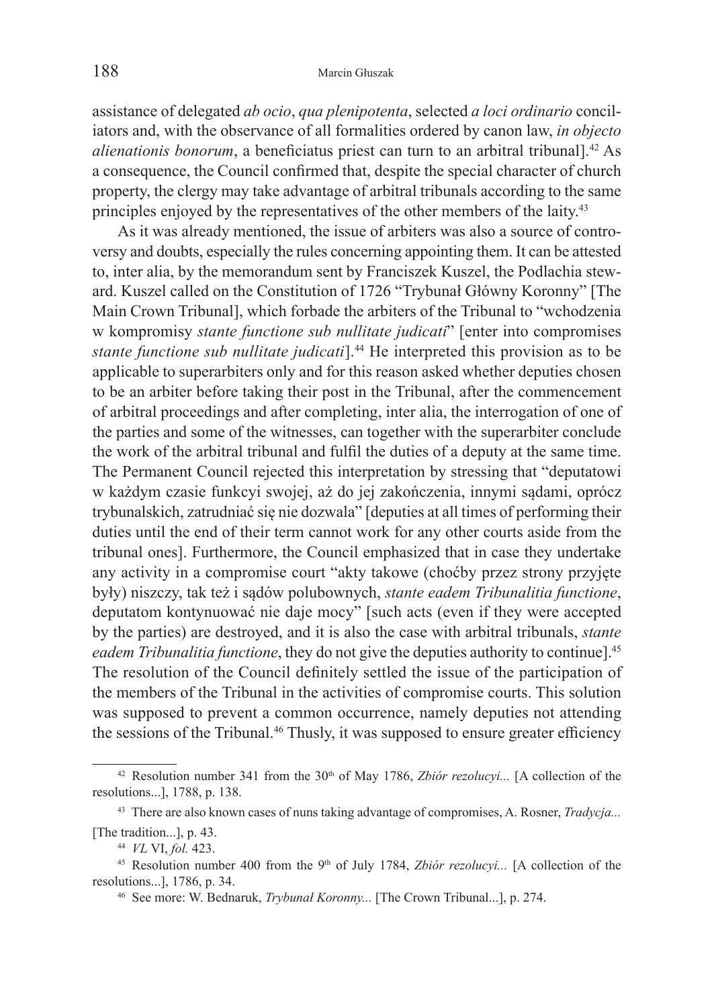assistance of delegated *ab ocio*, *qua plenipotenta*, selected *a loci ordinario* conciliators and, with the observance of all formalities ordered by canon law, *in objecto alienationis bonorum*, a beneficiatus priest can turn to an arbitral tribunal].42 As a consequence, the Council confirmed that, despite the special character of church property, the clergy may take advantage of arbitral tribunals according to the same principles enjoyed by the representatives of the other members of the laity. 43

As it was already mentioned, the issue of arbiters was also a source of controversy and doubts, especially the rules concerning appointing them. It can be attested to, inter alia, by the memorandum sent by Franciszek Kuszel, the Podlachia steward. Kuszel called on the Constitution of 1726 "Trybunał Główny Koronny" [The Main Crown Tribunal], which forbade the arbiters of the Tribunal to "wchodzenia w kompromisy *stante functione sub nullitate judicati*" [enter into compromises *stante functione sub nullitate judicati*].44 He interpreted this provision as to be applicable to superarbiters only and for this reason asked whether deputies chosen to be an arbiter before taking their post in the Tribunal, after the commencement of arbitral proceedings and after completing, inter alia, the interrogation of one of the parties and some of the witnesses, can together with the superarbiter conclude the work of the arbitral tribunal and fulfil the duties of a deputy at the same time. The Permanent Council rejected this interpretation by stressing that "deputatowi w każdym czasie funkcyi swojej, aż do jej zakończenia, innymi sądami, oprócz trybunalskich, zatrudniać się nie dozwala" [deputies at all times of performing their duties until the end of their term cannot work for any other courts aside from the tribunal ones]. Furthermore, the Council emphasized that in case they undertake any activity in a compromise court "akty takowe (choćby przez strony przyjęte były) niszczy, tak też i sądów polubownych, *stante eadem Tribunalitia functione*, deputatom kontynuować nie daje mocy" [such acts (even if they were accepted by the parties) are destroyed, and it is also the case with arbitral tribunals, *stante eadem Tribunalitia functione*, they do not give the deputies authority to continue].45 The resolution of the Council definitely settled the issue of the participation of the members of the Tribunal in the activities of compromise courts. This solution was supposed to prevent a common occurrence, namely deputies not attending the sessions of the Tribunal.<sup>46</sup> Thusly, it was supposed to ensure greater efficiency

<sup>&</sup>lt;sup>42</sup> Resolution number 341 from the 30<sup>th</sup> of May 1786, *Zbiór rezolucyi...* [A collection of the resolutions...], 1788, p. 138.

<sup>43</sup> There are also known cases of nuns taking advantage of compromises, A. Rosner, *Tradycja...*

<sup>[</sup>The tradition...], p. 43. 44 *VL* VI, *fol.* 423. 45 Resolution number 400 from the 9th of July 1784, *Zbiór rezolucyi...* [A collection of the resolutions...], 1786, p. 34. 46 See more: W. Bednaruk, *Trybunał Koronny...* [The Crown Tribunal...], p. 274.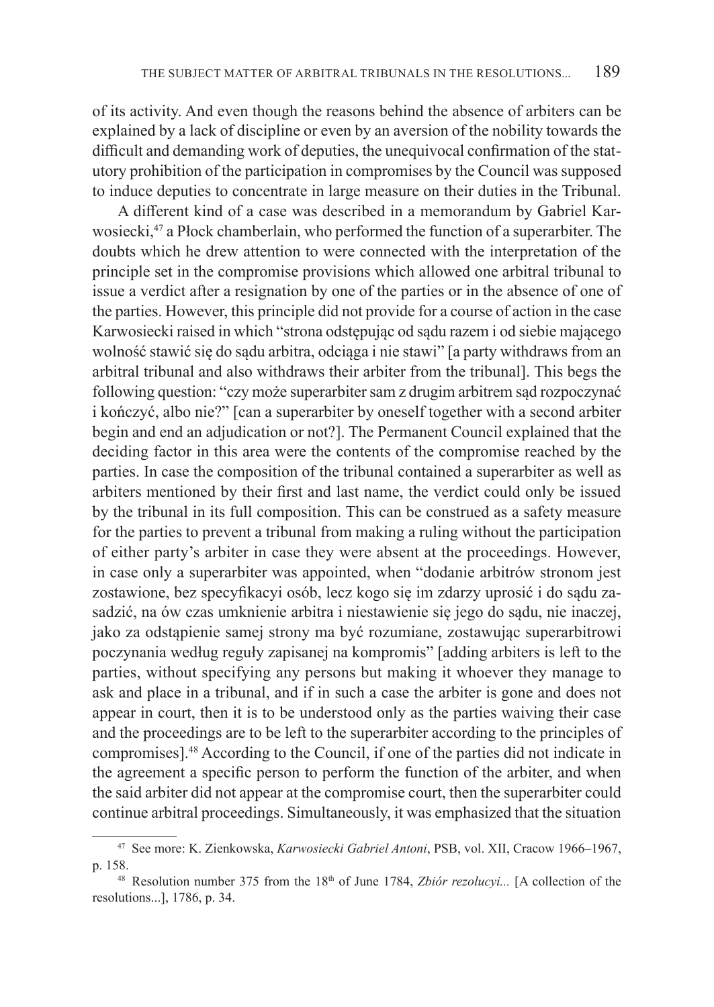of its activity. And even though the reasons behind the absence of arbiters can be explained by a lack of discipline or even by an aversion of the nobility towards the difficult and demanding work of deputies, the unequivocal confirmation of the statutory prohibition of the participation in compromises by the Council was supposed to induce deputies to concentrate in large measure on their duties in the Tribunal.

A different kind of a case was described in a memorandum by Gabriel Karwosiecki,47 a Płock chamberlain, who performed the function of a superarbiter. The doubts which he drew attention to were connected with the interpretation of the principle set in the compromise provisions which allowed one arbitral tribunal to issue a verdict after a resignation by one of the parties or in the absence of one of the parties. However, this principle did not provide for a course of action in the case Karwosiecki raised in which "strona odstępując od sądu razem i od siebie mającego wolność stawić się do sądu arbitra, odciąga i nie stawi" [a party withdraws from an arbitral tribunal and also withdraws their arbiter from the tribunal]. This begs the following question: "czy może superarbiter sam z drugim arbitrem sąd rozpoczynać i kończyć, albo nie?" [can a superarbiter by oneself together with a second arbiter begin and end an adjudication or not?]. The Permanent Council explained that the deciding factor in this area were the contents of the compromise reached by the parties. In case the composition of the tribunal contained a superarbiter as well as arbiters mentioned by their first and last name, the verdict could only be issued by the tribunal in its full composition. This can be construed as a safety measure for the parties to prevent a tribunal from making a ruling without the participation of either party's arbiter in case they were absent at the proceedings. However, in case only a superarbiter was appointed, when "dodanie arbitrów stronom jest zostawione, bez specyfikacyi osób, lecz kogo się im zdarzy uprosić i do sądu zasadzić, na ów czas umknienie arbitra i niestawienie się jego do sądu, nie inaczej, jako za odstąpienie samej strony ma być rozumiane, zostawując superarbitrowi poczynania według reguły zapisanej na kompromis" [adding arbiters is left to the parties, without specifying any persons but making it whoever they manage to ask and place in a tribunal, and if in such a case the arbiter is gone and does not appear in court, then it is to be understood only as the parties waiving their case and the proceedings are to be left to the superarbiter according to the principles of compromises].48 According to the Council, if one of the parties did not indicate in the agreement a specific person to perform the function of the arbiter, and when the said arbiter did not appear at the compromise court, then the superarbiter could continue arbitral proceedings. Simultaneously, it was emphasized that the situation

<sup>47</sup> See more: K. Zienkowska, *Karwosiecki Gabriel Antoni*, PSB, vol. XII, Cracow 1966–1967, p. 158.

<sup>&</sup>lt;sup>48</sup> Resolution number 375 from the 18<sup>th</sup> of June 1784, *Zbiór rezolucyi...* [A collection of the resolutions...], 1786, p. 34.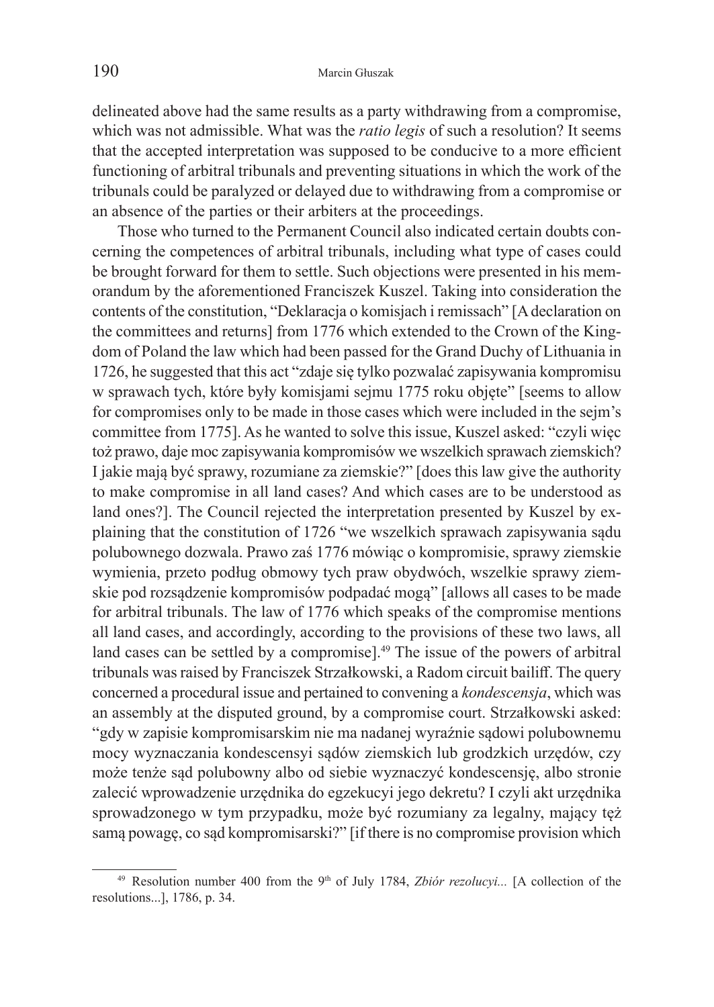delineated above had the same results as a party withdrawing from a compromise, which was not admissible. What was the *ratio legis* of such a resolution? It seems that the accepted interpretation was supposed to be conducive to a more efficient functioning of arbitral tribunals and preventing situations in which the work of the tribunals could be paralyzed or delayed due to withdrawing from a compromise or an absence of the parties or their arbiters at the proceedings.

Those who turned to the Permanent Council also indicated certain doubts concerning the competences of arbitral tribunals, including what type of cases could be brought forward for them to settle. Such objections were presented in his memorandum by the aforementioned Franciszek Kuszel. Taking into consideration the contents of the constitution, "Deklaracja o komisjach i remissach" [A declaration on the committees and returns] from 1776 which extended to the Crown of the Kingdom of Poland the law which had been passed for the Grand Duchy of Lithuania in 1726, he suggested that this act "zdaje się tylko pozwalać zapisywania kompromisu w sprawach tych, które były komisjami sejmu 1775 roku objęte" [seems to allow for compromises only to be made in those cases which were included in the sejm's committee from 1775]. As he wanted to solve this issue, Kuszel asked: "czyli więc toż prawo, daje moc zapisywania kompromisów we wszelkich sprawach ziemskich? I jakie mają być sprawy, rozumiane za ziemskie?" [does this law give the authority to make compromise in all land cases? And which cases are to be understood as land ones?]. The Council rejected the interpretation presented by Kuszel by explaining that the constitution of 1726 "we wszelkich sprawach zapisywania sądu polubownego dozwala. Prawo zaś 1776 mówiąc o kompromisie, sprawy ziemskie wymienia, przeto podług obmowy tych praw obydwóch, wszelkie sprawy ziemskie pod rozsądzenie kompromisów podpadać mogą" [allows all cases to be made for arbitral tribunals. The law of 1776 which speaks of the compromise mentions all land cases, and accordingly, according to the provisions of these two laws, all land cases can be settled by a compromise].<sup>49</sup> The issue of the powers of arbitral tribunals was raised by Franciszek Strzałkowski, a Radom circuit bailiff. The query concerned a procedural issue and pertained to convening a *kondescensja*, which was an assembly at the disputed ground, by a compromise court. Strzałkowski asked: "gdy w zapisie kompromisarskim nie ma nadanej wyraźnie sądowi polubownemu mocy wyznaczania kondescensyi sądów ziemskich lub grodzkich urzędów, czy może tenże sąd polubowny albo od siebie wyznaczyć kondescensję, albo stronie zalecić wprowadzenie urzędnika do egzekucyi jego dekretu? I czyli akt urzędnika sprowadzonego w tym przypadku, może być rozumiany za legalny, mający tęż samą powagę, co sąd kompromisarski?" [if there is no compromise provision which

<sup>&</sup>lt;sup>49</sup> Resolution number 400 from the 9<sup>th</sup> of July 1784, *Zbiór rezolucyi...* [A collection of the resolutions...], 1786, p. 34.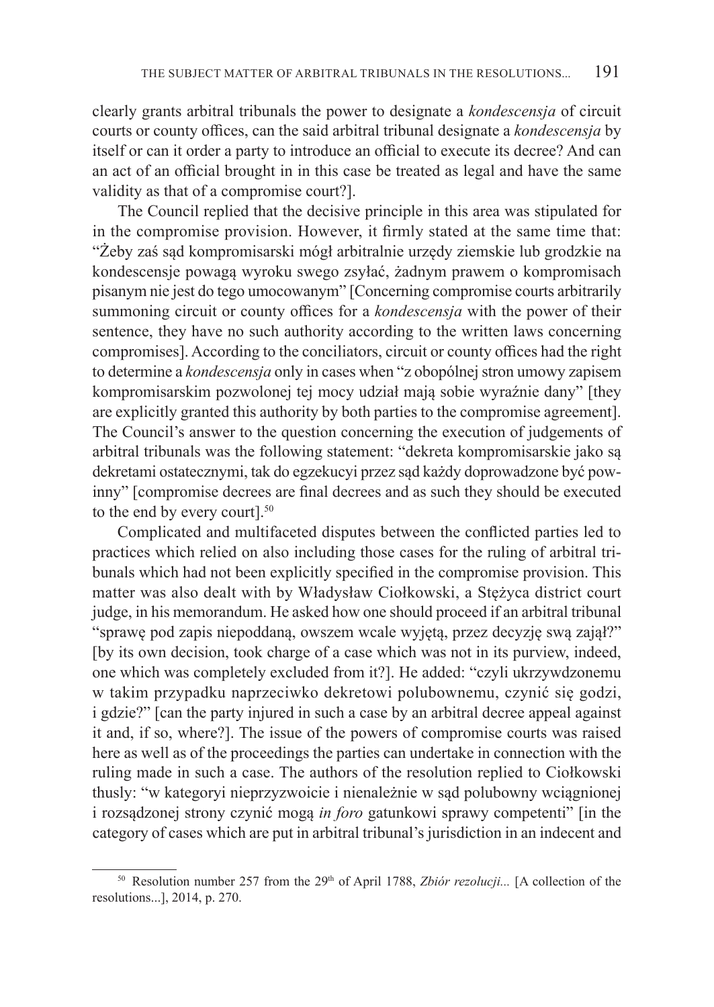clearly grants arbitral tribunals the power to designate a *kondescensja* of circuit courts or county offices, can the said arbitral tribunal designate a *kondescensja* by itself or can it order a party to introduce an official to execute its decree? And can an act of an official brought in in this case be treated as legal and have the same validity as that of a compromise court?].

The Council replied that the decisive principle in this area was stipulated for in the compromise provision. However, it firmly stated at the same time that: "Żeby zaś sąd kompromisarski mógł arbitralnie urzędy ziemskie lub grodzkie na kondescensje powagą wyroku swego zsyłać, żadnym prawem o kompromisach pisanym nie jest do tego umocowanym" [Concerning compromise courts arbitrarily summoning circuit or county offices for a *kondescensja* with the power of their sentence, they have no such authority according to the written laws concerning compromises]. According to the conciliators, circuit or county offices had the right to determine a *kondescensja* only in cases when "z obopólnej stron umowy zapisem kompromisarskim pozwolonej tej mocy udział mają sobie wyraźnie dany" [they are explicitly granted this authority by both parties to the compromise agreement]. The Council's answer to the question concerning the execution of judgements of arbitral tribunals was the following statement: "dekreta kompromisarskie jako są dekretami ostatecznymi, tak do egzekucyi przez sąd każdy doprowadzone być powinny" [compromise decrees are final decrees and as such they should be executed to the end by every court].<sup>50</sup>

Complicated and multifaceted disputes between the conflicted parties led to practices which relied on also including those cases for the ruling of arbitral tribunals which had not been explicitly specified in the compromise provision. This matter was also dealt with by Władysław Ciołkowski, a Stężyca district court judge, in his memorandum. He asked how one should proceed if an arbitral tribunal "sprawę pod zapis niepoddaną, owszem wcale wyjętą, przez decyzję swą zajął?" [by its own decision, took charge of a case which was not in its purview, indeed, one which was completely excluded from it?]. He added: "czyli ukrzywdzonemu w takim przypadku naprzeciwko dekretowi polubownemu, czynić się godzi, i gdzie?" [can the party injured in such a case by an arbitral decree appeal against it and, if so, where?]. The issue of the powers of compromise courts was raised here as well as of the proceedings the parties can undertake in connection with the ruling made in such a case. The authors of the resolution replied to Ciołkowski thusly: "w kategoryi nieprzyzwoicie i nienależnie w sąd polubowny wciągnionej i rozsądzonej strony czynić mogą *in foro* gatunkowi sprawy competenti" [in the category of cases which are put in arbitral tribunal's jurisdiction in an indecent and

<sup>&</sup>lt;sup>50</sup> Resolution number 257 from the 29<sup>th</sup> of April 1788, *Zbiór rezolucji...* [A collection of the resolutions...], 2014, p. 270.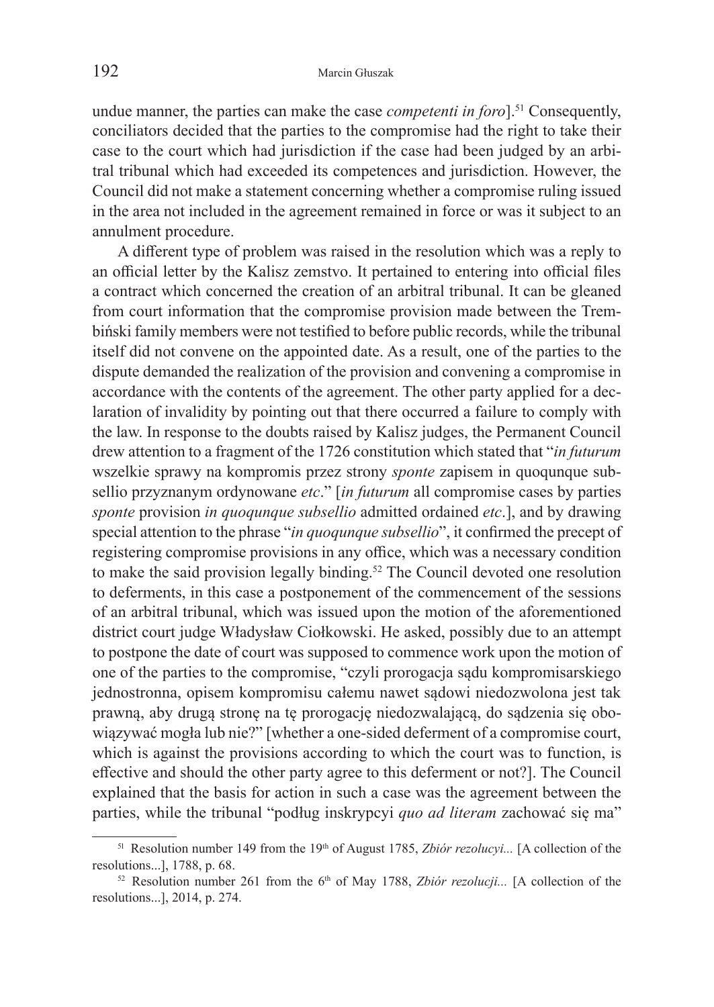undue manner, the parties can make the case *competenti in foro*].51 Consequently, conciliators decided that the parties to the compromise had the right to take their case to the court which had jurisdiction if the case had been judged by an arbitral tribunal which had exceeded its competences and jurisdiction. However, the Council did not make a statement concerning whether a compromise ruling issued in the area not included in the agreement remained in force or was it subject to an annulment procedure.

A different type of problem was raised in the resolution which was a reply to an official letter by the Kalisz zemstvo. It pertained to entering into official files a contract which concerned the creation of an arbitral tribunal. It can be gleaned from court information that the compromise provision made between the Trembiński family members were not testified to before public records, while the tribunal itself did not convene on the appointed date. As a result, one of the parties to the dispute demanded the realization of the provision and convening a compromise in accordance with the contents of the agreement. The other party applied for a declaration of invalidity by pointing out that there occurred a failure to comply with the law. In response to the doubts raised by Kalisz judges, the Permanent Council drew attention to a fragment of the 1726 constitution which stated that "*in futurum*  wszelkie sprawy na kompromis przez strony *sponte* zapisem in quoqunque subsellio przyznanym ordynowane *etc*." [*in futurum* all compromise cases by parties *sponte* provision *in quoqunque subsellio* admitted ordained *etc*.], and by drawing special attention to the phrase "*in quoqunque subsellio*", it confirmed the precept of registering compromise provisions in any office, which was a necessary condition to make the said provision legally binding.52 The Council devoted one resolution to deferments, in this case a postponement of the commencement of the sessions of an arbitral tribunal, which was issued upon the motion of the aforementioned district court judge Władysław Ciołkowski. He asked, possibly due to an attempt to postpone the date of court was supposed to commence work upon the motion of one of the parties to the compromise, "czyli prorogacja sądu kompromisarskiego jednostronna, opisem kompromisu całemu nawet sądowi niedozwolona jest tak prawną, aby drugą stronę na tę prorogację niedozwalającą, do sądzenia się obowiązywać mogła lub nie?" [whether a one-sided deferment of a compromise court, which is against the provisions according to which the court was to function, is effective and should the other party agree to this deferment or not?]. The Council explained that the basis for action in such a case was the agreement between the parties, while the tribunal "podług inskrypcyi *quo ad literam* zachować się ma"

<sup>&</sup>lt;sup>51</sup> Resolution number 149 from the 19<sup>th</sup> of August 1785, *Zbiór rezolucyi...* [A collection of the resolutions...], 1788, p. 68.

<sup>&</sup>lt;sup>52</sup> Resolution number 261 from the 6<sup>th</sup> of May 1788, *Zbiór rezolucji...* [A collection of the resolutions...], 2014, p. 274.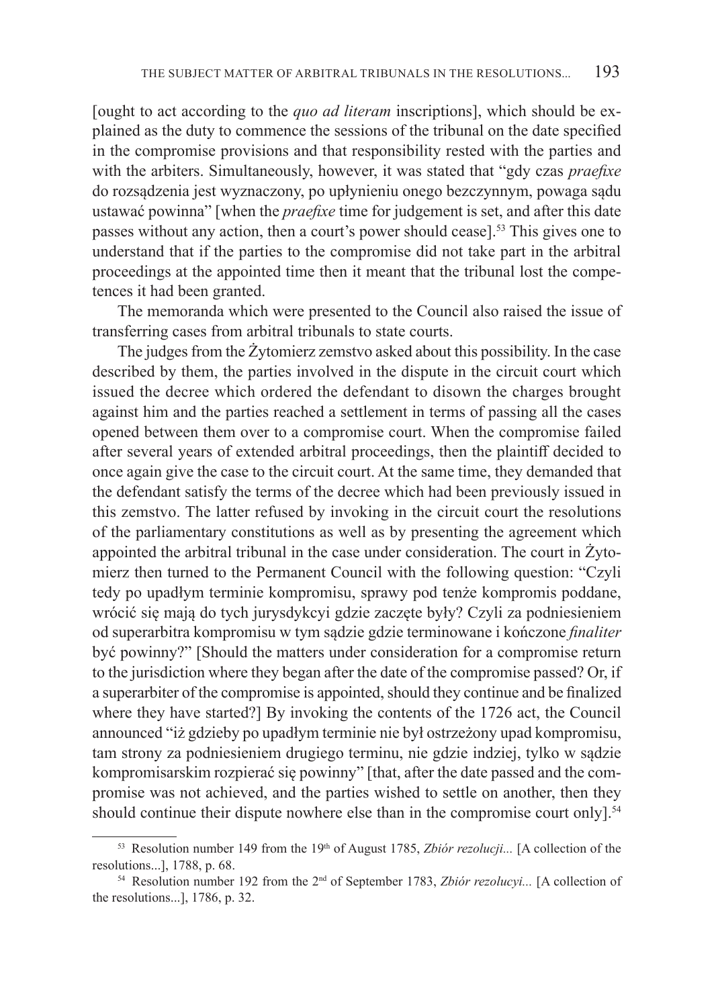[ought to act according to the *quo ad literam* inscriptions], which should be explained as the duty to commence the sessions of the tribunal on the date specified in the compromise provisions and that responsibility rested with the parties and with the arbiters. Simultaneously, however, it was stated that "gdy czas *praefixe*  do rozsądzenia jest wyznaczony, po upłynieniu onego bezczynnym, powaga sądu ustawać powinna" [when the *praefixe* time for judgement is set, and after this date passes without any action, then a court's power should cease].53 This gives one to understand that if the parties to the compromise did not take part in the arbitral proceedings at the appointed time then it meant that the tribunal lost the competences it had been granted.

The memoranda which were presented to the Council also raised the issue of transferring cases from arbitral tribunals to state courts.

The judges from the Żytomierz zemstvo asked about this possibility. In the case described by them, the parties involved in the dispute in the circuit court which issued the decree which ordered the defendant to disown the charges brought against him and the parties reached a settlement in terms of passing all the cases opened between them over to a compromise court. When the compromise failed after several years of extended arbitral proceedings, then the plaintiff decided to once again give the case to the circuit court. At the same time, they demanded that the defendant satisfy the terms of the decree which had been previously issued in this zemstvo. The latter refused by invoking in the circuit court the resolutions of the parliamentary constitutions as well as by presenting the agreement which appointed the arbitral tribunal in the case under consideration. The court in Żytomierz then turned to the Permanent Council with the following question: "Czyli tedy po upadłym terminie kompromisu, sprawy pod tenże kompromis poddane, wrócić się mają do tych jurysdykcyi gdzie zaczęte były? Czyli za podniesieniem od superarbitra kompromisu w tym sądzie gdzie terminowane i kończone *finaliter*  być powinny?" [Should the matters under consideration for a compromise return to the jurisdiction where they began after the date of the compromise passed? Or, if a superarbiter of the compromise is appointed, should they continue and be finalized where they have started?] By invoking the contents of the 1726 act, the Council announced "iż gdzieby po upadłym terminie nie był ostrzeżony upad kompromisu, tam strony za podniesieniem drugiego terminu, nie gdzie indziej, tylko w sądzie kompromisarskim rozpierać się powinny" [that, after the date passed and the compromise was not achieved, and the parties wished to settle on another, then they should continue their dispute nowhere else than in the compromise court only].<sup>54</sup>

<sup>&</sup>lt;sup>53</sup> Resolution number 149 from the 19<sup>th</sup> of August 1785, *Zbiór rezolucji...* [A collection of the resolutions...], 1788, p. 68.

<sup>54</sup> Resolution number 192 from the 2nd of September 1783, *Zbiór rezolucyi...* [A collection of the resolutions...], 1786, p. 32.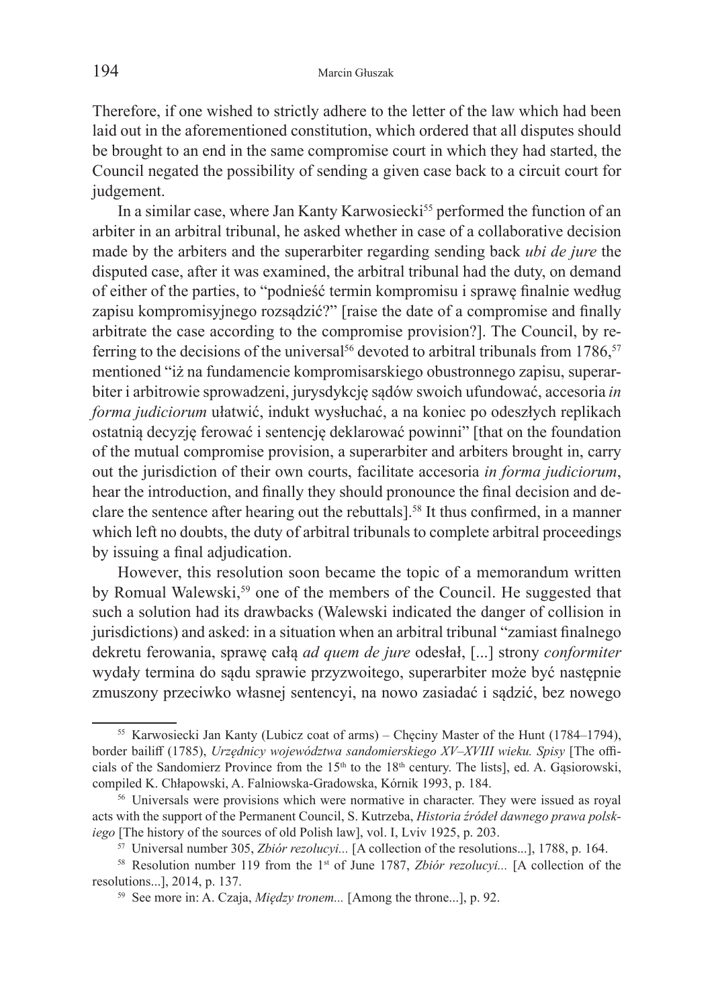Therefore, if one wished to strictly adhere to the letter of the law which had been laid out in the aforementioned constitution, which ordered that all disputes should be brought to an end in the same compromise court in which they had started, the Council negated the possibility of sending a given case back to a circuit court for judgement.

In a similar case, where Jan Kanty Karwosiecki<sup>55</sup> performed the function of an arbiter in an arbitral tribunal, he asked whether in case of a collaborative decision made by the arbiters and the superarbiter regarding sending back *ubi de jure* the disputed case, after it was examined, the arbitral tribunal had the duty, on demand of either of the parties, to "podnieść termin kompromisu i sprawę finalnie według zapisu kompromisyjnego rozsądzić?" [raise the date of a compromise and finally arbitrate the case according to the compromise provision?]. The Council, by referring to the decisions of the universal<sup>56</sup> devoted to arbitral tribunals from 1786,<sup>57</sup> mentioned "iż na fundamencie kompromisarskiego obustronnego zapisu, superarbiter i arbitrowie sprowadzeni, jurysdykcję sądów swoich ufundować, accesoria *in forma judiciorum* ułatwić, indukt wysłuchać, a na koniec po odeszłych replikach ostatnią decyzję ferować i sentencję deklarować powinni" [that on the foundation of the mutual compromise provision, a superarbiter and arbiters brought in, carry out the jurisdiction of their own courts, facilitate accesoria *in forma judiciorum*, hear the introduction, and finally they should pronounce the final decision and declare the sentence after hearing out the rebuttals].58 It thus confirmed, in a manner which left no doubts, the duty of arbitral tribunals to complete arbitral proceedings by issuing a final adjudication.

However, this resolution soon became the topic of a memorandum written by Romual Walewski,<sup>59</sup> one of the members of the Council. He suggested that such a solution had its drawbacks (Walewski indicated the danger of collision in jurisdictions) and asked: in a situation when an arbitral tribunal "zamiast finalnego dekretu ferowania, sprawę całą *ad quem de jure* odesłał, [...] strony *conformiter*  wydały termina do sądu sprawie przyzwoitego, superarbiter może być następnie zmuszony przeciwko własnej sentencyi, na nowo zasiadać i sądzić, bez nowego

<sup>55</sup> Karwosiecki Jan Kanty (Lubicz coat of arms) – Chęciny Master of the Hunt (1784–1794), border bailiff (1785), *Urzędnicy województwa sandomierskiego XV–XVIII wieku. Spisy* [The officials of the Sandomierz Province from the  $15<sup>th</sup>$  to the 18<sup>th</sup> century. The lists], ed. A. Gasiorowski, compiled K. Chłapowski, A. Falniowska-Gradowska, Kórnik 1993, p. 184. 56 Universals were provisions which were normative in character. They were issued as royal

acts with the support of the Permanent Council, S. Kutrzeba, *Historia źródeł dawnego prawa polskiego* [The history of the sources of old Polish law], vol. I, Lviv 1925, p. 203.

<sup>57</sup> Universal number 305, *Zbiór rezolucyi...* [A collection of the resolutions...], 1788, p. 164. 58 Resolution number 119 from the 1st of June 1787, *Zbiór rezolucyi...* [A collection of the

resolutions...], 2014, p. 137. 59 See more in: A. Czaja, *Między tronem...* [Among the throne...], p. 92.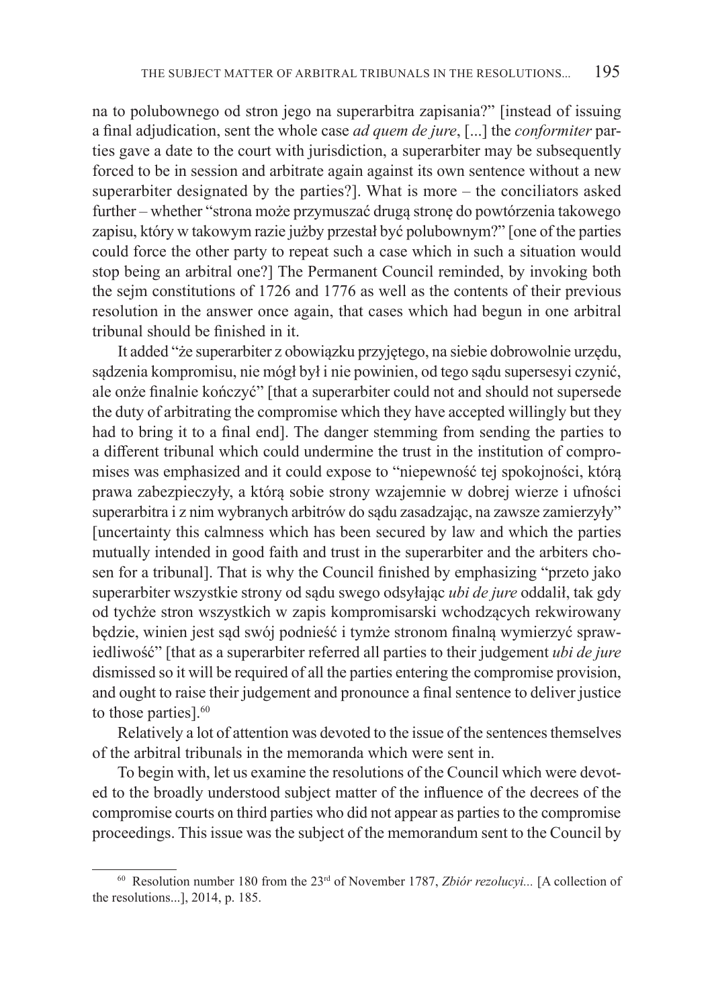na to polubownego od stron jego na superarbitra zapisania?" [instead of issuing a final adjudication, sent the whole case *ad quem de jure*, [...] the *conformiter* parties gave a date to the court with jurisdiction, a superarbiter may be subsequently forced to be in session and arbitrate again against its own sentence without a new superarbiter designated by the parties?]. What is more – the conciliators asked further – whether "strona może przymuszać drugą stronę do powtórzenia takowego zapisu, który w takowym razie jużby przestał być polubownym?" [one of the parties could force the other party to repeat such a case which in such a situation would stop being an arbitral one?] The Permanent Council reminded, by invoking both the sejm constitutions of 1726 and 1776 as well as the contents of their previous resolution in the answer once again, that cases which had begun in one arbitral tribunal should be finished in it.

It added "że superarbiter z obowiązku przyjętego, na siebie dobrowolnie urzędu, sądzenia kompromisu, nie mógł był i nie powinien, od tego sądu supersesyi czynić, ale onże finalnie kończyć" [that a superarbiter could not and should not supersede the duty of arbitrating the compromise which they have accepted willingly but they had to bring it to a final end]. The danger stemming from sending the parties to a different tribunal which could undermine the trust in the institution of compromises was emphasized and it could expose to "niepewność tej spokojności, którą prawa zabezpieczyły, a którą sobie strony wzajemnie w dobrej wierze i ufności superarbitra i z nim wybranych arbitrów do sądu zasadzając, na zawsze zamierzyły" [uncertainty this calmness which has been secured by law and which the parties mutually intended in good faith and trust in the superarbiter and the arbiters chosen for a tribunal]. That is why the Council finished by emphasizing "przeto jako superarbiter wszystkie strony od sądu swego odsyłając *ubi de jure* oddalił, tak gdy od tychże stron wszystkich w zapis kompromisarski wchodzących rekwirowany będzie, winien jest sąd swój podnieść i tymże stronom finalną wymierzyć sprawiedliwość" [that as a superarbiter referred all parties to their judgement *ubi de jure* dismissed so it will be required of all the parties entering the compromise provision, and ought to raise their judgement and pronounce a final sentence to deliver justice to those parties].<sup>60</sup>

Relatively a lot of attention was devoted to the issue of the sentences themselves of the arbitral tribunals in the memoranda which were sent in.

To begin with, let us examine the resolutions of the Council which were devoted to the broadly understood subject matter of the influence of the decrees of the compromise courts on third parties who did not appear as parties to the compromise proceedings. This issue was the subject of the memorandum sent to the Council by

<sup>&</sup>lt;sup>60</sup> Resolution number 180 from the  $23<sup>rd</sup>$  of November 1787, *Zbiór rezolucyi...* [A collection of the resolutions...], 2014, p. 185.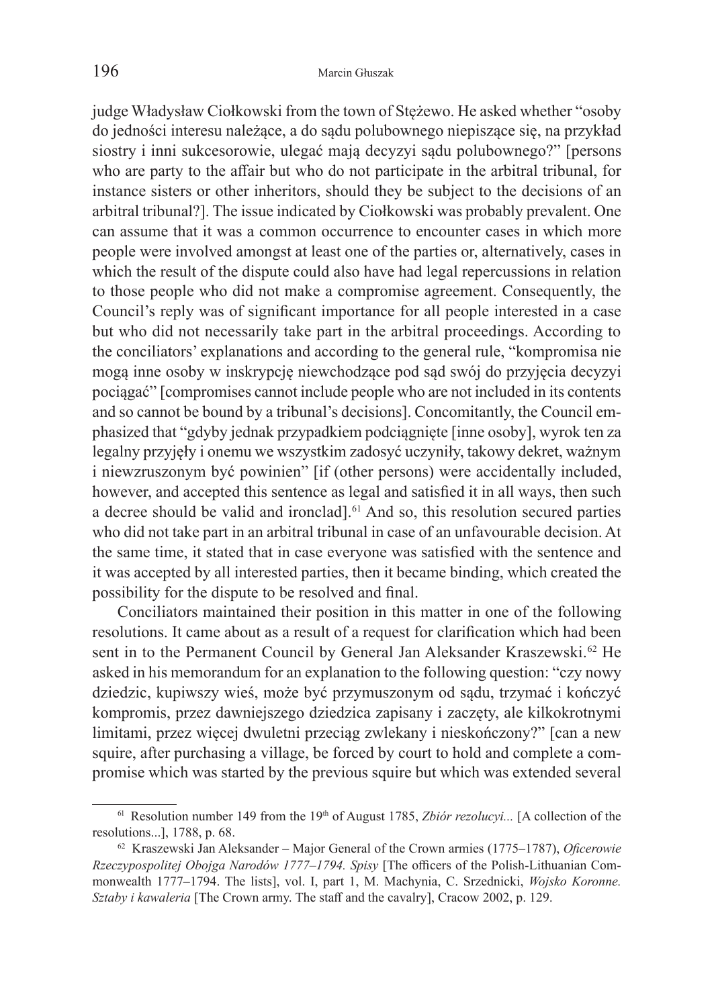judge Władysław Ciołkowski from the town of Stężewo. He asked whether "osoby do jedności interesu należące, a do sądu polubownego niepiszące się, na przykład siostry i inni sukcesorowie, ulegać mają decyzyi sądu polubownego?" [persons who are party to the affair but who do not participate in the arbitral tribunal, for instance sisters or other inheritors, should they be subject to the decisions of an arbitral tribunal?]. The issue indicated by Ciołkowski was probably prevalent. One can assume that it was a common occurrence to encounter cases in which more people were involved amongst at least one of the parties or, alternatively, cases in which the result of the dispute could also have had legal repercussions in relation to those people who did not make a compromise agreement. Consequently, the Council's reply was of significant importance for all people interested in a case but who did not necessarily take part in the arbitral proceedings. According to the conciliators' explanations and according to the general rule, "kompromisa nie mogą inne osoby w inskrypcję niewchodzące pod sąd swój do przyjęcia decyzyi pociągać" [compromises cannot include people who are not included in its contents and so cannot be bound by a tribunal's decisions]. Concomitantly, the Council emphasized that "gdyby jednak przypadkiem podciągnięte [inne osoby], wyrok ten za legalny przyjęły i onemu we wszystkim zadosyć uczyniły, takowy dekret, ważnym i niewzruszonym być powinien" [if (other persons) were accidentally included, however, and accepted this sentence as legal and satisfied it in all ways, then such a decree should be valid and ironclad].61 And so, this resolution secured parties who did not take part in an arbitral tribunal in case of an unfavourable decision. At the same time, it stated that in case everyone was satisfied with the sentence and it was accepted by all interested parties, then it became binding, which created the possibility for the dispute to be resolved and final.

Conciliators maintained their position in this matter in one of the following resolutions. It came about as a result of a request for clarification which had been sent in to the Permanent Council by General Jan Aleksander Kraszewski.<sup>62</sup> He asked in his memorandum for an explanation to the following question: "czy nowy dziedzic, kupiwszy wieś, może być przymuszonym od sądu, trzymać i kończyć kompromis, przez dawniejszego dziedzica zapisany i zaczęty, ale kilkokrotnymi limitami, przez więcej dwuletni przeciąg zwlekany i nieskończony?" [can a new squire, after purchasing a village, be forced by court to hold and complete a compromise which was started by the previous squire but which was extended several

<sup>&</sup>lt;sup>61</sup> Resolution number 149 from the 19<sup>th</sup> of August 1785, *Zbiór rezolucyi...* [A collection of the resolutions...], 1788, p. 68.

<sup>62</sup> Kraszewski Jan Aleksander – Major General of the Crown armies (1775–1787), *Oficerowie Rzeczypospolitej Obojga Narodów 1777–1794. Spisy* [The officers of the Polish-Lithuanian Commonwealth 1777–1794. The lists], vol. I, part 1, M. Machynia, C. Srzednicki, *Wojsko Koronne. Sztaby i kawaleria* [The Crown army. The staff and the cavalry], Cracow 2002, p. 129.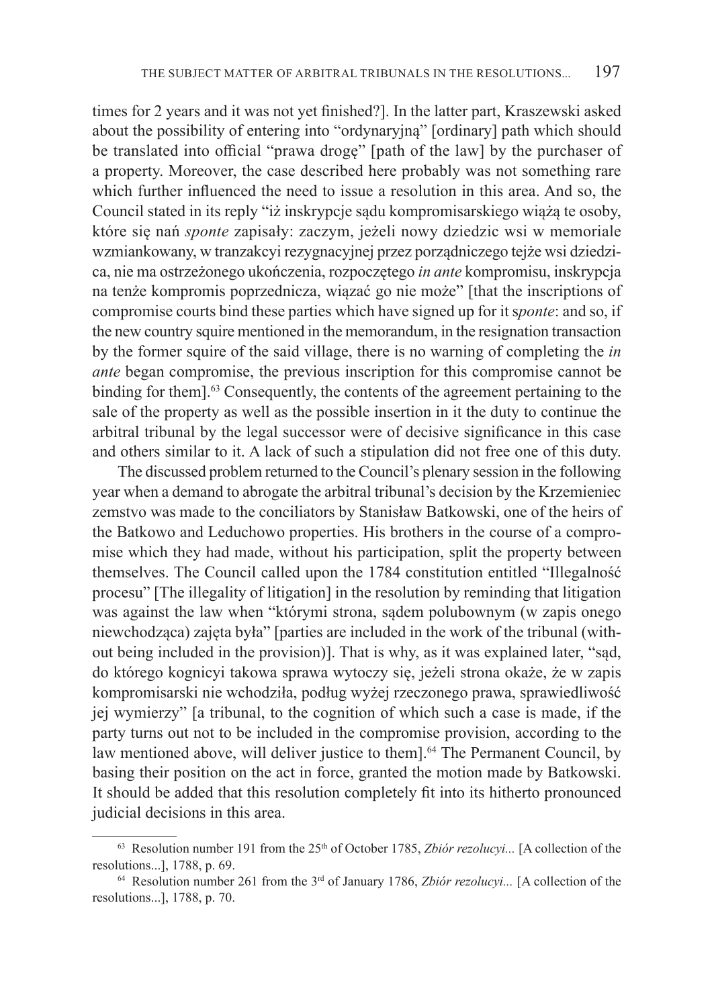times for 2 years and it was not yet finished?]. In the latter part, Kraszewski asked about the possibility of entering into "ordynaryjną" [ordinary] path which should be translated into official "prawa drogę" [path of the law] by the purchaser of a property. Moreover, the case described here probably was not something rare which further influenced the need to issue a resolution in this area. And so, the Council stated in its reply "iż inskrypcje sądu kompromisarskiego wiążą te osoby, które się nań *sponte* zapisały: zaczym, jeżeli nowy dziedzic wsi w memoriale wzmiankowany, w tranzakcyi rezygnacyjnej przez porządniczego tejże wsi dziedzica, nie ma ostrzeżonego ukończenia, rozpoczętego *in ante* kompromisu, inskrypcja na tenże kompromis poprzednicza, wiązać go nie może" [that the inscriptions of compromise courts bind these parties which have signed up for it s*ponte*: and so, if the new country squire mentioned in the memorandum, in the resignation transaction by the former squire of the said village, there is no warning of completing the *in ante* began compromise, the previous inscription for this compromise cannot be binding for them].<sup>63</sup> Consequently, the contents of the agreement pertaining to the sale of the property as well as the possible insertion in it the duty to continue the arbitral tribunal by the legal successor were of decisive significance in this case and others similar to it. A lack of such a stipulation did not free one of this duty.

The discussed problem returned to the Council's plenary session in the following year when a demand to abrogate the arbitral tribunal's decision by the Krzemieniec zemstvo was made to the conciliators by Stanisław Batkowski, one of the heirs of the Batkowo and Leduchowo properties. His brothers in the course of a compromise which they had made, without his participation, split the property between themselves. The Council called upon the 1784 constitution entitled "Illegalność procesu" [The illegality of litigation] in the resolution by reminding that litigation was against the law when "którymi strona, sądem polubownym (w zapis onego niewchodząca) zajęta była" [parties are included in the work of the tribunal (without being included in the provision)]. That is why, as it was explained later, "sąd, do którego kognicyi takowa sprawa wytoczy się, jeżeli strona okaże, że w zapis kompromisarski nie wchodziła, podług wyżej rzeczonego prawa, sprawiedliwość jej wymierzy" [a tribunal, to the cognition of which such a case is made, if the party turns out not to be included in the compromise provision, according to the law mentioned above, will deliver justice to them].<sup>64</sup> The Permanent Council, by basing their position on the act in force, granted the motion made by Batkowski. It should be added that this resolution completely fit into its hitherto pronounced judicial decisions in this area.

 $63$  Resolution number 191 from the  $25<sup>th</sup>$  of October 1785, *Zbiór rezolucyi...* [A collection of the resolutions...], 1788, p. 69. 64 Resolution number 261 from the 3rd of January 1786, *Zbiór rezolucyi...* [A collection of the

resolutions...], 1788, p. 70.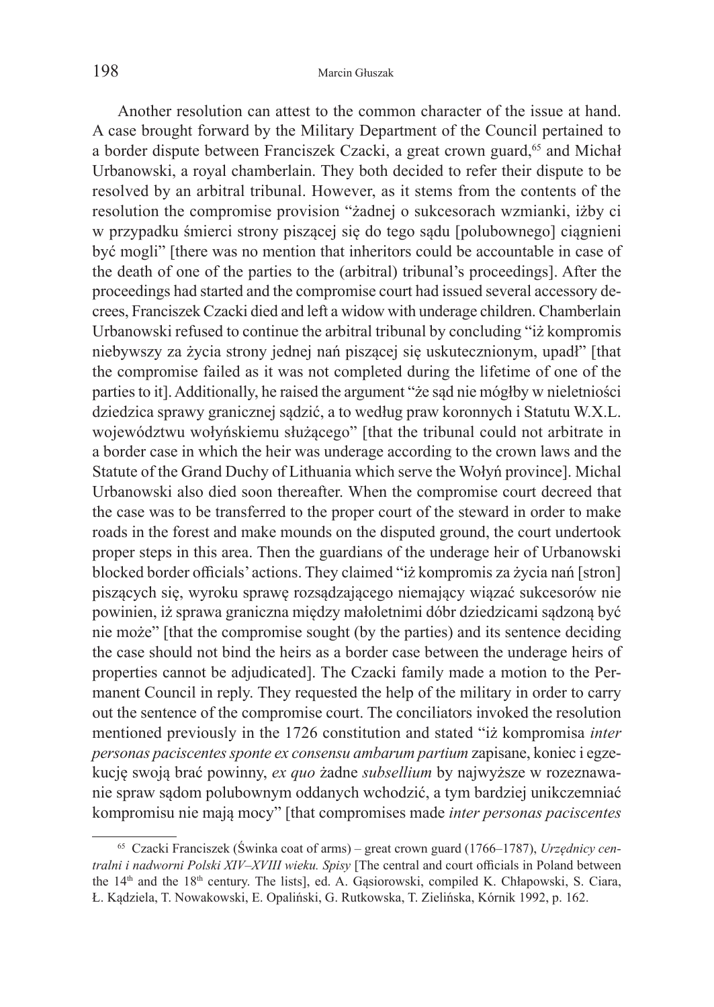Another resolution can attest to the common character of the issue at hand. A case brought forward by the Military Department of the Council pertained to a border dispute between Franciszek Czacki, a great crown guard,<sup>65</sup> and Michał Urbanowski, a royal chamberlain. They both decided to refer their dispute to be resolved by an arbitral tribunal. However, as it stems from the contents of the resolution the compromise provision "żadnej o sukcesorach wzmianki, iżby ci w przypadku śmierci strony piszącej się do tego sądu [polubownego] ciągnieni być mogli" [there was no mention that inheritors could be accountable in case of the death of one of the parties to the (arbitral) tribunal's proceedings]. After the proceedings had started and the compromise court had issued several accessory decrees, Franciszek Czacki died and left a widow with underage children. Chamberlain Urbanowski refused to continue the arbitral tribunal by concluding "iż kompromis niebywszy za życia strony jednej nań piszącej się uskutecznionym, upadł" [that the compromise failed as it was not completed during the lifetime of one of the parties to it]. Additionally, he raised the argument "że sąd nie mógłby w nieletniości dziedzica sprawy granicznej sądzić, a to według praw koronnych i Statutu W.X.L. województwu wołyńskiemu służącego" [that the tribunal could not arbitrate in a border case in which the heir was underage according to the crown laws and the Statute of the Grand Duchy of Lithuania which serve the Wołyń province]. Michal Urbanowski also died soon thereafter. When the compromise court decreed that the case was to be transferred to the proper court of the steward in order to make roads in the forest and make mounds on the disputed ground, the court undertook proper steps in this area. Then the guardians of the underage heir of Urbanowski blocked border officials' actions. They claimed "iż kompromis za życia nań [stron] piszących się, wyroku sprawę rozsądzającego niemający wiązać sukcesorów nie powinien, iż sprawa graniczna między małoletnimi dóbr dziedzicami sądzoną być nie może" [that the compromise sought (by the parties) and its sentence deciding the case should not bind the heirs as a border case between the underage heirs of properties cannot be adjudicated]. The Czacki family made a motion to the Permanent Council in reply. They requested the help of the military in order to carry out the sentence of the compromise court. The conciliators invoked the resolution mentioned previously in the 1726 constitution and stated "iż kompromisa *inter personas paciscentes sponte ex consensu ambarum partium* zapisane, koniec i egzekucję swoją brać powinny, *ex quo* żadne *subsellium* by najwyższe w rozeznawanie spraw sądom polubownym oddanych wchodzić, a tym bardziej unikczemniać kompromisu nie mają mocy" [that compromises made *inter personas paciscentes* 

<sup>65</sup> Czacki Franciszek (Świnka coat of arms) – great crown guard (1766–1787), *Urzędnicy centralni i nadworni Polski XIV–XVIII wieku. Spisy* [The central and court officials in Poland between the 14<sup>th</sup> and the 18<sup>th</sup> century. The lists], ed. A. Gasiorowski, compiled K. Chłapowski, S. Ciara, Ł. Kądziela, T. Nowakowski, E. Opaliński, G. Rutkowska, T. Zielińska, Kórnik 1992, p. 162.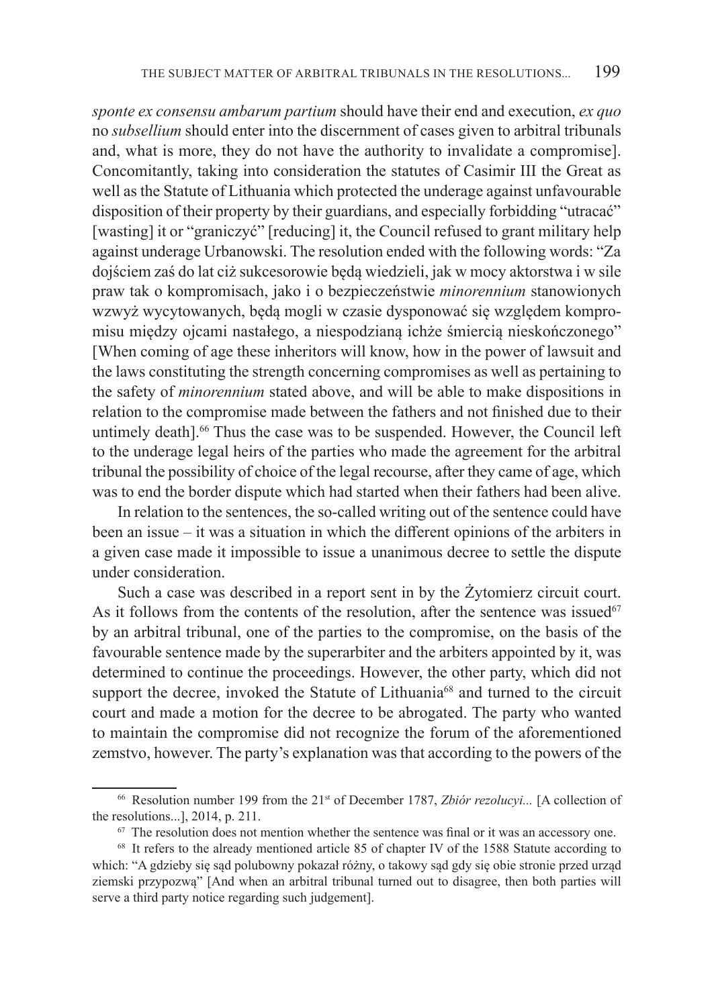*sponte ex consensu ambarum partium* should have their end and execution, *ex quo*  no *subsellium* should enter into the discernment of cases given to arbitral tribunals and, what is more, they do not have the authority to invalidate a compromise]. Concomitantly, taking into consideration the statutes of Casimir III the Great as well as the Statute of Lithuania which protected the underage against unfavourable disposition of their property by their guardians, and especially forbidding "utracać" [wasting] it or "graniczyć" [reducing] it, the Council refused to grant military help against underage Urbanowski. The resolution ended with the following words: "Za dojściem zaś do lat ciż sukcesorowie będą wiedzieli, jak w mocy aktorstwa i w sile praw tak o kompromisach, jako i o bezpieczeństwie *minorennium* stanowionych wzwyż wycytowanych, będą mogli w czasie dysponować się względem kompromisu między ojcami nastałego, a niespodzianą ichże śmiercią nieskończonego" [When coming of age these inheritors will know, how in the power of lawsuit and the laws constituting the strength concerning compromises as well as pertaining to the safety of *minorennium* stated above, and will be able to make dispositions in relation to the compromise made between the fathers and not finished due to their untimely death].<sup>66</sup> Thus the case was to be suspended. However, the Council left to the underage legal heirs of the parties who made the agreement for the arbitral tribunal the possibility of choice of the legal recourse, after they came of age, which was to end the border dispute which had started when their fathers had been alive.

In relation to the sentences, the so-called writing out of the sentence could have been an issue – it was a situation in which the different opinions of the arbiters in a given case made it impossible to issue a unanimous decree to settle the dispute under consideration.

Such a case was described in a report sent in by the Żytomierz circuit court. As it follows from the contents of the resolution, after the sentence was issued<sup>67</sup> by an arbitral tribunal, one of the parties to the compromise, on the basis of the favourable sentence made by the superarbiter and the arbiters appointed by it, was determined to continue the proceedings. However, the other party, which did not support the decree, invoked the Statute of Lithuania<sup>68</sup> and turned to the circuit court and made a motion for the decree to be abrogated. The party who wanted to maintain the compromise did not recognize the forum of the aforementioned zemstvo, however. The party's explanation was that according to the powers of the

<sup>&</sup>lt;sup>66</sup> Resolution number 199 from the 21<sup>st</sup> of December 1787, *Zbiór rezolucyi...* [A collection of the resolutions...], 2014, p. 211.

<sup>&</sup>lt;sup>67</sup> The resolution does not mention whether the sentence was final or it was an accessory one. <sup>68</sup> It refers to the already mentioned article 85 of chapter IV of the 1588 Statute according to

which: "A gdzieby się sąd polubowny pokazał różny, o takowy sąd gdy się obie stronie przed urząd ziemski przypozwą" [And when an arbitral tribunal turned out to disagree, then both parties will serve a third party notice regarding such judgement].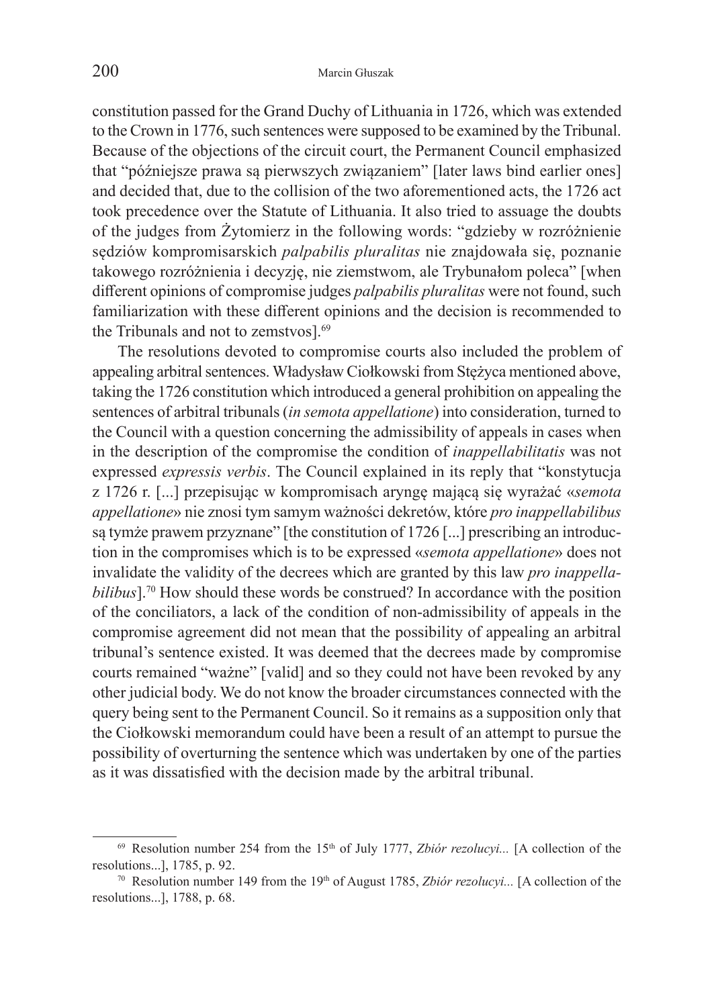constitution passed for the Grand Duchy of Lithuania in 1726, which was extended to the Crown in 1776, such sentences were supposed to be examined by the Tribunal. Because of the objections of the circuit court, the Permanent Council emphasized that "późniejsze prawa są pierwszych związaniem" [later laws bind earlier ones] and decided that, due to the collision of the two aforementioned acts, the 1726 act took precedence over the Statute of Lithuania. It also tried to assuage the doubts of the judges from Żytomierz in the following words: "gdzieby w rozróżnienie sędziów kompromisarskich *palpabilis pluralitas* nie znajdowała się, poznanie takowego rozróżnienia i decyzję, nie ziemstwom, ale Trybunałom poleca" [when different opinions of compromise judges *palpabilis pluralitas* were not found, such familiarization with these different opinions and the decision is recommended to the Tribunals and not to zemstvos].<sup>69</sup>

The resolutions devoted to compromise courts also included the problem of appealing arbitral sentences. Władysław Ciołkowski from Stężyca mentioned above, taking the 1726 constitution which introduced a general prohibition on appealing the sentences of arbitral tribunals (*in semota appellatione*) into consideration, turned to the Council with a question concerning the admissibility of appeals in cases when in the description of the compromise the condition of *inappellabilitatis* was not expressed *expressis verbis*. The Council explained in its reply that "konstytucja z 1726 r. [...] przepisując w kompromisach aryngę mającą się wyrażać «*semota appellatione*» nie znosi tym samym ważności dekretów, które *pro inappellabilibus*  są tymże prawem przyznane" [the constitution of 1726 [...] prescribing an introduction in the compromises which is to be expressed «*semota appellatione*» does not invalidate the validity of the decrees which are granted by this law *pro inappellabilibus*].<sup>70</sup> How should these words be construed? In accordance with the position of the conciliators, a lack of the condition of non-admissibility of appeals in the compromise agreement did not mean that the possibility of appealing an arbitral tribunal's sentence existed. It was deemed that the decrees made by compromise courts remained "ważne" [valid] and so they could not have been revoked by any other judicial body. We do not know the broader circumstances connected with the query being sent to the Permanent Council. So it remains as a supposition only that the Ciołkowski memorandum could have been a result of an attempt to pursue the possibility of overturning the sentence which was undertaken by one of the parties as it was dissatisfied with the decision made by the arbitral tribunal.

 $69$  Resolution number 254 from the 15<sup>th</sup> of July 1777, *Zbiór rezolucyi...* [A collection of the resolutions...], 1785, p. 92.<br><sup>70</sup> Resolution number 149 from the 19<sup>th</sup> of August 1785, *Zbiór rezolucyi...* [A collection of the

resolutions...], 1788, p. 68.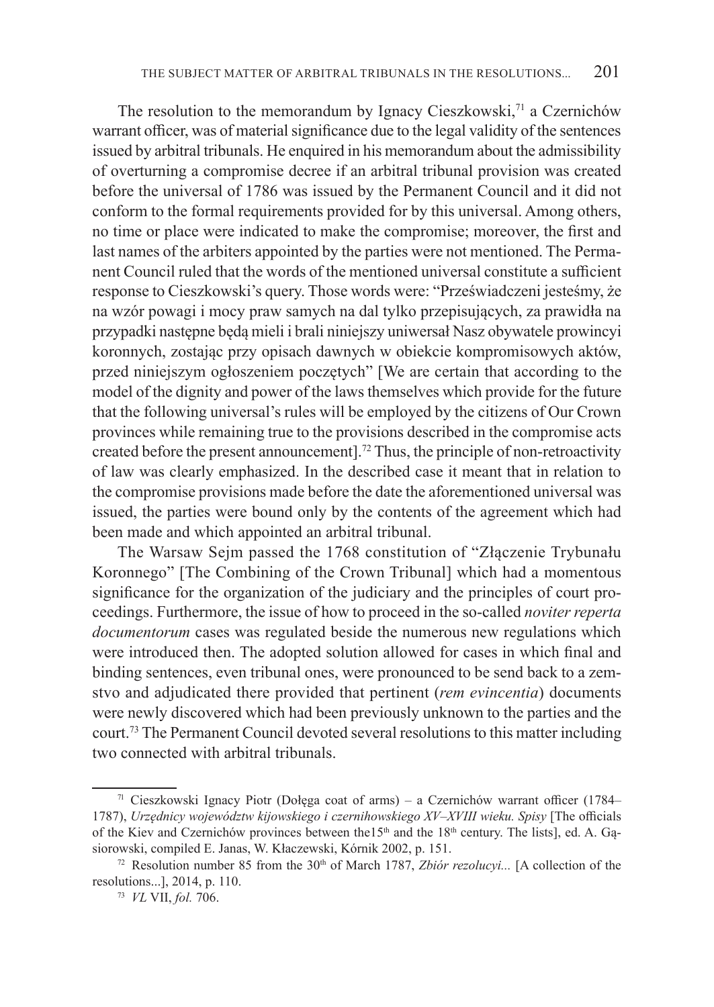The resolution to the memorandum by Ignacy Cieszkowski,<sup>71</sup> a Czernichów warrant officer, was of material significance due to the legal validity of the sentences issued by arbitral tribunals. He enquired in his memorandum about the admissibility of overturning a compromise decree if an arbitral tribunal provision was created before the universal of 1786 was issued by the Permanent Council and it did not conform to the formal requirements provided for by this universal. Among others, no time or place were indicated to make the compromise; moreover, the first and last names of the arbiters appointed by the parties were not mentioned. The Permanent Council ruled that the words of the mentioned universal constitute a sufficient response to Cieszkowski's query. Those words were: "Przeświadczeni jesteśmy, że na wzór powagi i mocy praw samych na dal tylko przepisujących, za prawidła na przypadki następne będą mieli i brali niniejszy uniwersał Nasz obywatele prowincyi koronnych, zostając przy opisach dawnych w obiekcie kompromisowych aktów, przed niniejszym ogłoszeniem poczętych" [We are certain that according to the model of the dignity and power of the laws themselves which provide for the future that the following universal's rules will be employed by the citizens of Our Crown provinces while remaining true to the provisions described in the compromise acts created before the present announcement].72 Thus, the principle of non-retroactivity of law was clearly emphasized. In the described case it meant that in relation to the compromise provisions made before the date the aforementioned universal was issued, the parties were bound only by the contents of the agreement which had been made and which appointed an arbitral tribunal.

The Warsaw Sejm passed the 1768 constitution of "Złączenie Trybunału Koronnego" [The Combining of the Crown Tribunal] which had a momentous significance for the organization of the judiciary and the principles of court proceedings. Furthermore, the issue of how to proceed in the so-called *noviter reperta documentorum* cases was regulated beside the numerous new regulations which were introduced then. The adopted solution allowed for cases in which final and binding sentences, even tribunal ones, were pronounced to be send back to a zemstvo and adjudicated there provided that pertinent (*rem evincentia*) documents were newly discovered which had been previously unknown to the parties and the court.73 The Permanent Council devoted several resolutions to this matter including two connected with arbitral tribunals.

<sup>71</sup> Cieszkowski Ignacy Piotr (Dołęga coat of arms) – a Czernichów warrant officer (1784– 1787), *Urzędnicy województw kijowskiego i czernihowskiego XV–XVIII wieku. Spisy* [The officials of the Kiev and Czernichów provinces between the 15<sup>th</sup> and the 18<sup>th</sup> century. The lists], ed. A. Gąsiorowski, compiled E. Janas, W. Kłaczewski, Kórnik 2002, p. 151.<br><sup>72</sup> Resolution number 85 from the 30<sup>th</sup> of March 1787, *Zbiór rezolucyi..*. [A collection of the

resolutions...], 2014, p. 110. 73 *VL* VII, *fol.* 706.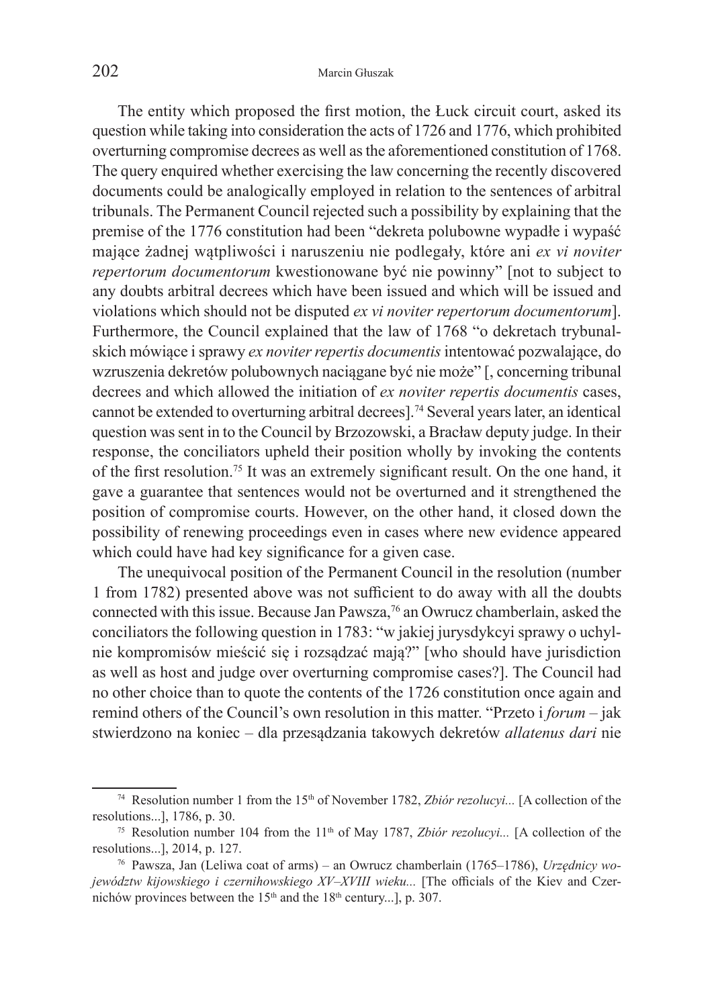The entity which proposed the first motion, the Łuck circuit court, asked its question while taking into consideration the acts of 1726 and 1776, which prohibited overturning compromise decrees as well as the aforementioned constitution of 1768. The query enquired whether exercising the law concerning the recently discovered documents could be analogically employed in relation to the sentences of arbitral tribunals. The Permanent Council rejected such a possibility by explaining that the premise of the 1776 constitution had been "dekreta polubowne wypadłe i wypaść mające żadnej wątpliwości i naruszeniu nie podlegały, które ani *ex vi noviter repertorum documentorum* kwestionowane być nie powinny" [not to subject to any doubts arbitral decrees which have been issued and which will be issued and violations which should not be disputed *ex vi noviter repertorum documentorum*]. Furthermore, the Council explained that the law of 1768 "o dekretach trybunalskich mówiące isprawy *ex noviter repertis documentis* intentować pozwalające, do wzruszenia dekretów polubownych naciągane być nie może" [, concerning tribunal decrees and which allowed the initiation of *ex noviter repertis documentis* cases, cannot be extended to overturning arbitral decrees].74 Several years later, an identical question was sent in to the Council by Brzozowski, a Bracław deputy judge. In their response, the conciliators upheld their position wholly by invoking the contents of the first resolution.75 It was an extremely significant result. On the one hand, it gave a guarantee that sentences would not be overturned and it strengthened the position of compromise courts. However, on the other hand, it closed down the possibility of renewing proceedings even in cases where new evidence appeared which could have had key significance for a given case.

The unequivocal position of the Permanent Council in the resolution (number 1 from 1782) presented above was not sufficient to do away with all the doubts connected with this issue. Because Jan Pawsza,76 an Owrucz chamberlain, asked the conciliators the following question in 1783: "w jakiej jurysdykcyi sprawy o uchylnie kompromisów mieścić się i rozsądzać mają?" [who should have jurisdiction as well as host and judge over overturning compromise cases?]. The Council had no other choice than to quote the contents of the 1726 constitution once again and remind others of the Council's own resolution in this matter. "Przeto i *forum* – jak stwierdzono na koniec – dla przesądzania takowych dekretów *allatenus dari* nie

<sup>&</sup>lt;sup>74</sup> Resolution number 1 from the 15<sup>th</sup> of November 1782, *Zbiór rezolucyi...* [A collection of the resolutions...], 1786, p. 30. 75 Resolution number 104 from the 11th of May 1787, *Zbiór rezolucyi...* [A collection of the

resolutions...], 2014, p. 127. 76 Pawsza, Jan (Leliwa coat of arms) – an Owrucz chamberlain (1765–1786), *Urzędnicy wo-*

*jewództw kijowskiego i czernihowskiego XV–XVIII wieku...* [The officials of the Kiev and Czernichów provinces between the  $15<sup>th</sup>$  and the  $18<sup>th</sup>$  century...], p. 307.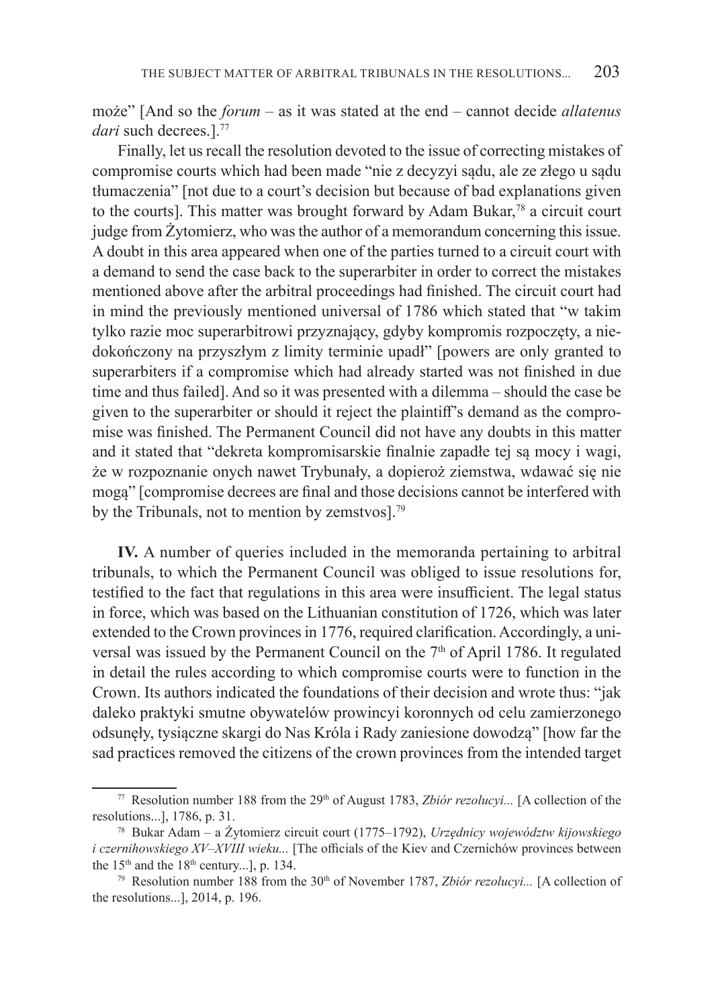może" [And so the *forum* – as it was stated at the end – cannot decide *allatenus*  dari such decrees.<sup>177</sup>

Finally, let us recall the resolution devoted to the issue of correcting mistakes of compromise courts which had been made "nie z decyzyi sądu, ale ze złego u sądu tłumaczenia" [not due to a court's decision but because of bad explanations given to the courts]. This matter was brought forward by Adam Bukar, $78$  a circuit court judge from Żytomierz, who was the author of a memorandum concerning this issue. A doubt in this area appeared when one of the parties turned to a circuit court with a demand to send the case back to the superarbiter in order to correct the mistakes mentioned above after the arbitral proceedings had finished. The circuit court had in mind the previously mentioned universal of 1786 which stated that "w takim tylko razie moc superarbitrowi przyznający, gdyby kompromis rozpoczęty, a niedokończony na przyszłym z limity terminie upadł" [powers are only granted to superarbiters if a compromise which had already started was not finished in due time and thus failed]. And so it was presented with a dilemma – should the case be given to the superarbiter or should it reject the plaintiff's demand as the compromise was finished. The Permanent Council did not have any doubts in this matter and it stated that "dekreta kompromisarskie finalnie zapadłe tej są mocy i wagi, że w rozpoznanie onych nawet Trybunały, a dopieroż ziemstwa, wdawać się nie mogą" [compromise decrees are final and those decisions cannot be interfered with by the Tribunals, not to mention by zemstvos].<sup>79</sup>

**IV.** A number of queries included in the memoranda pertaining to arbitral tribunals, to which the Permanent Council was obliged to issue resolutions for, testified to the fact that regulations in this area were insufficient. The legal status in force, which was based on the Lithuanian constitution of 1726, which was later extended to the Crown provinces in 1776, required clarification. Accordingly, a universal was issued by the Permanent Council on the 7<sup>th</sup> of April 1786. It regulated in detail the rules according to which compromise courts were to function in the Crown. Its authors indicated the foundations of their decision and wrote thus: "jak daleko praktyki smutne obywatelów prowincyi koronnych od celu zamierzonego odsunęły, tysiączne skargi do Nas Króla i Rady zaniesione dowodzą" [how far the sad practices removed the citizens of the crown provinces from the intended target

<sup>&</sup>lt;sup>77</sup> Resolution number 188 from the 29<sup>th</sup> of August 1783, *Zbiór rezolucyi...* [A collection of the resolutions...], 1786, p. 31. 78 Bukar Adam – a Żytomierz circuit court (1775–1792), *Urzędnicy województw kijowskiego* 

*i czernihowskiego XV–XVIII wieku...* [The officials of the Kiev and Czernichów provinces between the  $15<sup>th</sup>$  and the  $18<sup>th</sup>$  century...], p. 134.

<sup>&</sup>lt;sup>79</sup> Resolution number 188 from the 30<sup>th</sup> of November 1787, *Zbiór rezolucyi...* [A collection of the resolutions...], 2014, p. 196.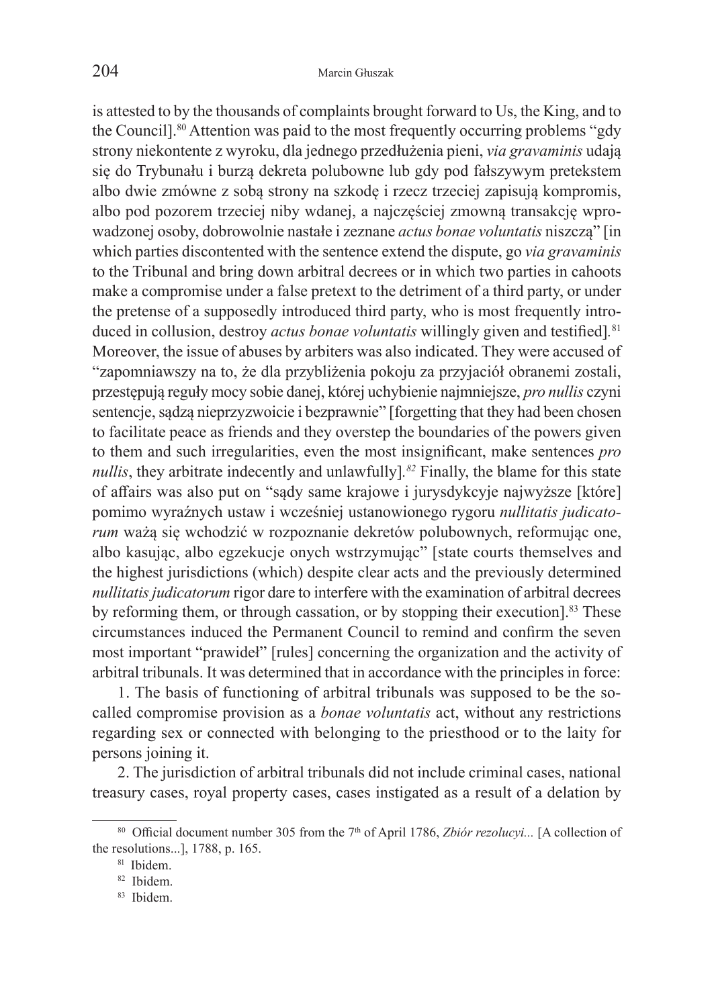is attested to by the thousands of complaints brought forward to Us, the King, and to the Council].<sup>80</sup> Attention was paid to the most frequently occurring problems "gdy strony niekontente z wyroku, dla jednego przedłużenia pieni, *via gravaminis* udają się do Trybunału i burzą dekreta polubowne lub gdy pod fałszywym pretekstem albo dwie zmówne z sobą strony na szkodę i rzecz trzeciej zapisują kompromis, albo pod pozorem trzeciej niby wdanej, a najczęściej zmowną transakcję wprowadzonej osoby, dobrowolnie nastałe i zeznane *actus bonae voluntatis* niszczą" [in which parties discontented with the sentence extend the dispute, go *via gravaminis* to the Tribunal and bring down arbitral decrees or in which two parties in cahoots make a compromise under a false pretext to the detriment of a third party, or under the pretense of a supposedly introduced third party, who is most frequently introduced in collusion, destroy *actus bonae voluntatis* willingly given and testified]*.* 81 Moreover, the issue of abuses by arbiters was also indicated. They were accused of "zapomniawszy na to, że dla przybliżenia pokoju za przyjaciół obranemi zostali, przestępują reguły mocy sobie danej, której uchybienie najmniejsze, *pro nullis* czyni sentencje, sądzą nieprzyzwoicie i bezprawnie" [forgetting that they had been chosen to facilitate peace as friends and they overstep the boundaries of the powers given to them and such irregularities, even the most insignificant, make sentences *pro nullis*, they arbitrate indecently and unlawfully]*. <sup>82</sup>* Finally, the blame for this state of affairs was also put on "sądy same krajowe i jurysdykcyje najwyższe [które] pomimo wyraźnych ustaw i wcześniej ustanowionego rygoru *nullitatis judicatorum* ważą się wchodzić w rozpoznanie dekretów polubownych, reformując one, albo kasując, albo egzekucje onych wstrzymując" [state courts themselves and the highest jurisdictions (which) despite clear acts and the previously determined *nullitatis judicatorum* rigor dare to interfere with the examination of arbitral decrees by reforming them, or through cassation, or by stopping their execution].<sup>83</sup> These circumstances induced the Permanent Council to remind and confirm the seven most important "prawideł" [rules] concerning the organization and the activity of arbitral tribunals. It was determined that in accordance with the principles in force:

1. The basis of functioning of arbitral tribunals was supposed to be the socalled compromise provision as a *bonae voluntatis* act, without any restrictions regarding sex or connected with belonging to the priesthood or to the laity for persons joining it.

2. The jurisdiction of arbitral tribunals did not include criminal cases, national treasury cases, royal property cases, cases instigated as a result of a delation by

<sup>80</sup> Official document number 305 from the 7<sup>th</sup> of April 1786, *Zbiór rezolucyi...* [A collection of the resolutions...], 1788, p. 165.<br><sup>81</sup> Ibidem.

<sup>82</sup> Ibidem.

<sup>83</sup> Ibidem.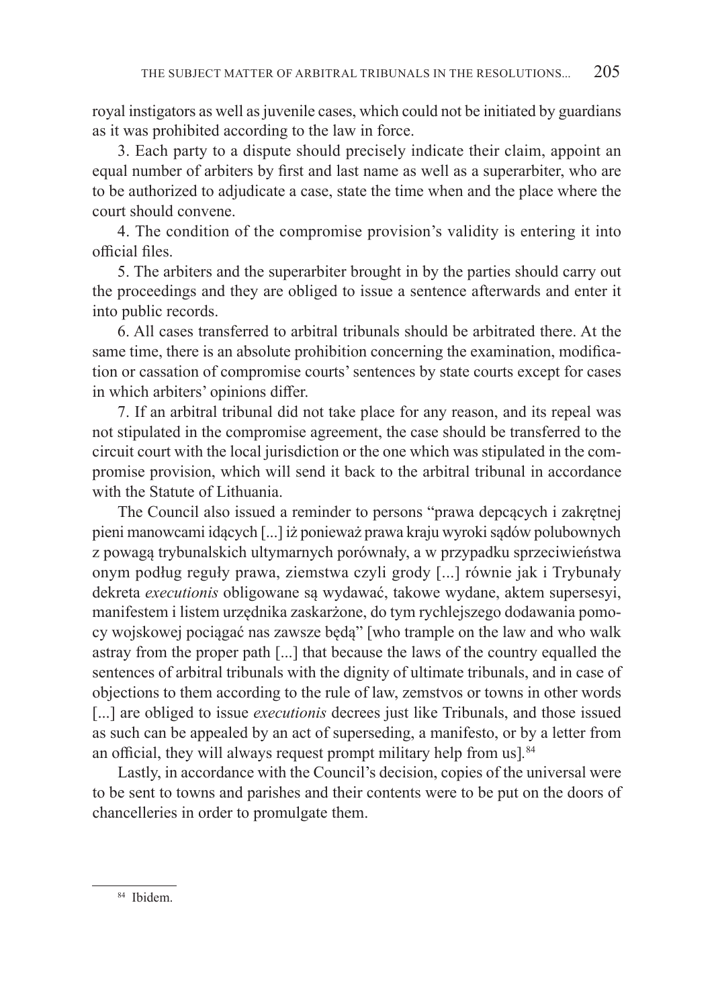royal instigators as well as juvenile cases, which could not be initiated by guardians as it was prohibited according to the law in force.

3. Each party to a dispute should precisely indicate their claim, appoint an equal number of arbiters by first and last name as well as a superarbiter, who are to be authorized to adjudicate a case, state the time when and the place where the court should convene.

4. The condition of the compromise provision's validity is entering it into official files.

5. The arbiters and the superarbiter brought in by the parties should carry out the proceedings and they are obliged to issue a sentence afterwards and enter it into public records.

6. All cases transferred to arbitral tribunals should be arbitrated there. At the same time, there is an absolute prohibition concerning the examination, modification or cassation of compromise courts' sentences by state courts except for cases in which arbiters' opinions differ.

7. If an arbitral tribunal did not take place for any reason, and its repeal was not stipulated in the compromise agreement, the case should be transferred to the circuit court with the local jurisdiction or the one which was stipulated in the compromise provision, which will send it back to the arbitral tribunal in accordance with the Statute of Lithuania.

The Council also issued a reminder to persons "prawa depcących i zakrętnej pieni manowcami idących [...] iż ponieważ prawa kraju wyroki sądów polubownych z powagą trybunalskich ultymarnych porównały, a w przypadku sprzeciwieństwa onym podług reguły prawa, ziemstwa czyli grody [...] równie jak i Trybunały dekreta *executionis* obligowane są wydawać, takowe wydane, aktem supersesyi, manifestem i listem urzędnika zaskarżone, do tym rychlejszego dodawania pomocy wojskowej pociągać nas zawsze będą" [who trample on the law and who walk astray from the proper path [...] that because the laws of the country equalled the sentences of arbitral tribunals with the dignity of ultimate tribunals, and in case of objections to them according to the rule of law, zemstvos or towns in other words [...] are obliged to issue *executionis* decrees just like Tribunals, and those issued as such can be appealed by an act of superseding, a manifesto, or by a letter from an official, they will always request prompt military help from us]*.* 84

Lastly, in accordance with the Council's decision, copies of the universal were to be sent to towns and parishes and their contents were to be put on the doors of chancelleries in order to promulgate them.

<sup>84</sup> Ibidem.